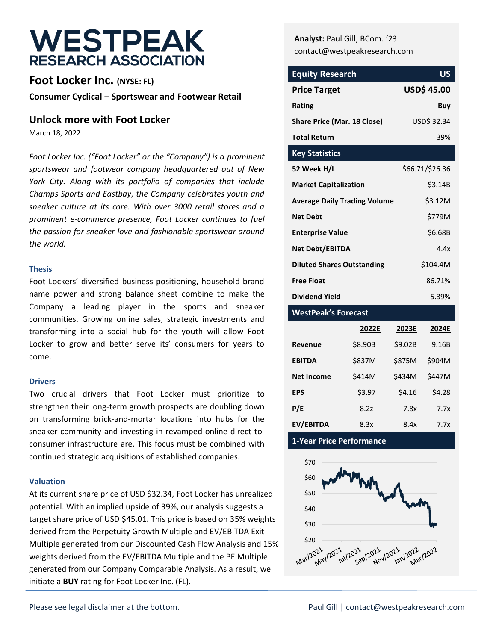# **WESTPEAK RESEARCH ASSOCIATION**

**Foot Locker Inc. (NYSE: FL) Consumer Cyclical – Sportswear and Footwear Retail**

#### **Unlock more with Foot Locker**

March 18, 2022

*Foot Locker Inc. ("Foot Locker" or the "Company") is a prominent sportswear and footwear company headquartered out of New York City. Along with its portfolio of companies that include Champs Sports and Eastbay, the Company celebrates youth and sneaker culture at its core. With over 3000 retail stores and a prominent e-commerce presence, Foot Locker continues to fuel the passion for sneaker love and fashionable sportswear around the world.* 

#### **Thesis**

Foot Lockers' diversified business positioning, household brand name power and strong balance sheet combine to make the Company a leading player in the sports and sneaker communities. Growing online sales, strategic investments and transforming into a social hub for the youth will allow Foot Locker to grow and better serve its' consumers for years to come.

#### **Drivers**

Two crucial drivers that Foot Locker must prioritize to strengthen their long-term growth prospects are doubling down on transforming brick-and-mortar locations into hubs for the sneaker community and investing in revamped online direct-toconsumer infrastructure are. This focus must be combined with continued strategic acquisitions of established companies.

#### **Valuation**

At its current share price of USD \$32.34, Foot Locker has unrealized potential. With an implied upside of 39%, our analysis suggests a target share price of USD \$45.01. This price is based on 35% weights derived from the Perpetuity Growth Multiple and EV/EBITDA Exit Multiple generated from our Discounted Cash Flow Analysis and 15% weights derived from the EV/EBITDA Multiple and the PE Multiple generated from our Company Comparable Analysis. As a result, we initiate a **BUY** rating for Foot Locker Inc. (FL).

**Analyst:** Paul Gill, BCom. '23 contact@westpeakresearch.com

| <b>Equity Research</b>              | US                 |
|-------------------------------------|--------------------|
| <b>Price Target</b>                 | <b>USD\$ 45.00</b> |
| Rating                              | Buy                |
| <b>Share Price (Mar. 18 Close)</b>  | USD\$ 32.34        |
| <b>Total Return</b>                 | 39%                |
| <b>Key Statistics</b>               |                    |
| 52 Week H/L                         | \$66.71/\$26.36    |
| <b>Market Capitalization</b>        | \$3.14B            |
| <b>Average Daily Trading Volume</b> | \$3.12M            |
| <b>Net Debt</b>                     | \$779M             |
| <b>Enterprise Value</b>             | \$6.68B            |
| Net Debt/EBITDA                     | 44x                |
| <b>Diluted Shares Outstanding</b>   | \$104.4M           |
| <b>Free Float</b>                   | 86.71%             |
| Dividend Yield                      | 5.39%              |

#### **WestPeak's Forecast**

|                   | 2022E   | 2023E         | 2024E  |
|-------------------|---------|---------------|--------|
| Revenue           | \$8.90B | \$9.02B       | 9.16B  |
| <b>EBITDA</b>     | \$837M  | <b>\$875M</b> | \$904M |
| <b>Net Income</b> | \$414M  | \$434M        | \$447M |
| <b>EPS</b>        | \$3.97  | \$4.16        | \$4.28 |
| P/E               | 8.27    | 7.8x          | 7.7x   |
| EV/EBITDA         | 8.3x    | 8.4x          | 7.7x   |

#### **1-Year Price Performance**

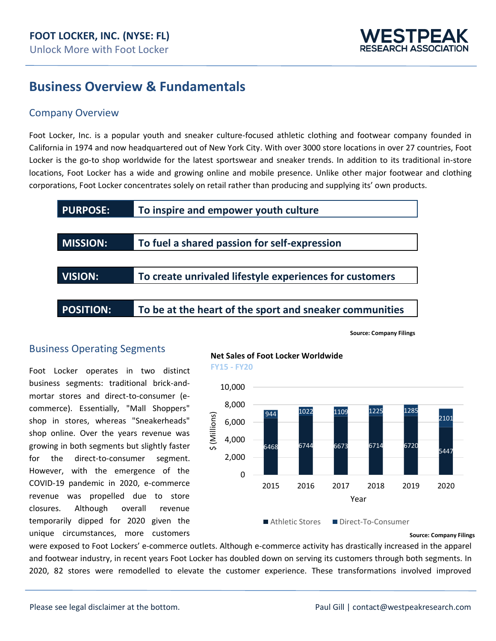

### **Business Overview & Fundamentals**

#### Company Overview

Foot Locker, Inc. is a popular youth and sneaker culture-focused athletic clothing and footwear company founded in California in 1974 and now headquartered out of New York City. With over 3000 store locations in over 27 countries, Foot Locker is the go-to shop worldwide for the latest sportswear and sneaker trends. In addition to its traditional in-store locations, Foot Locker has a wide and growing online and mobile presence. Unlike other major footwear and clothing corporations, Foot Locker concentrates solely on retail rather than producing and supplying its' own products.



**Source: Company Filings**

#### Business Operating Segments

Foot Locker operates in two distinct business segments: traditional brick-andmortar stores and direct-to-consumer (ecommerce). Essentially, "Mall Shoppers" shop in stores, whereas "Sneakerheads" shop online. Over the years revenue was growing in both segments but slightly faster for the direct-to-consumer segment. However, with the emergence of the COVID-19 pandemic in 2020, e-commerce revenue was propelled due to store closures. Although overall revenue temporarily dipped for 2020 given the unique circumstances, more customers

**Net Sales of Foot Locker Worldwide FY15 - FY20**



**Source: Company Filings**

were exposed to Foot Lockers' e-commerce outlets. Although e-commerce activity has drastically increased in the apparel and footwear industry, in recent years Foot Locker has doubled down on serving its customers through both segments. In 2020, 82 stores were remodelled to elevate the customer experience. These transformations involved improved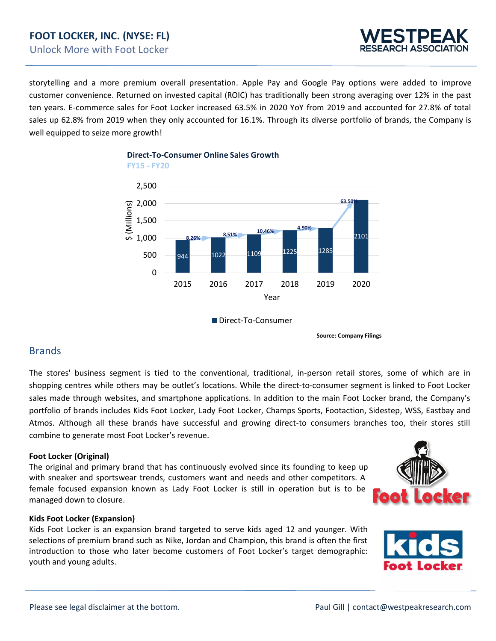### **FOOT LOCKER, INC. (NYSE: FL)** Unlock More with Foot Locker



storytelling and a more premium overall presentation. Apple Pay and Google Pay options were added to improve customer convenience. Returned on invested capital (ROIC) has traditionally been strong averaging over 12% in the past ten years. E-commerce sales for Foot Locker increased 63.5% in 2020 YoY from 2019 and accounted for 27.8% of total sales up 62.8% from 2019 when they only accounted for 16.1%. Through its diverse portfolio of brands, the Company is well equipped to seize more growth!





**FY15 - FY20**

Direct-To-Consumer

**Source: Company Filings**

#### Brands

The stores' business segment is tied to the conventional, traditional, in-person retail stores, some of which are in shopping centres while others may be outlet's locations. While the direct-to-consumer segment is linked to Foot Locker sales made through websites, and smartphone applications. In addition to the main Foot Locker brand, the Company's portfolio of brands includes Kids Foot Locker, Lady Foot Locker, Champs Sports, Footaction, Sidestep, WSS, Eastbay and Atmos. Although all these brands have successful and growing direct-to consumers branches too, their stores still combine to generate most Foot Locker's revenue.

#### **Foot Locker (Original)**

The original and primary brand that has continuously evolved since its founding to keep up with sneaker and sportswear trends, customers want and needs and other competitors. A female focused expansion known as Lady Foot Locker is still in operation but is to be managed down to closure.



#### **Kids Foot Locker (Expansion)**

Kids Foot Locker is an expansion brand targeted to serve kids aged 12 and younger. With selections of premium brand such as Nike, Jordan and Champion, this brand is often the first introduction to those who later become customers of Foot Locker's target demographic: youth and young adults.

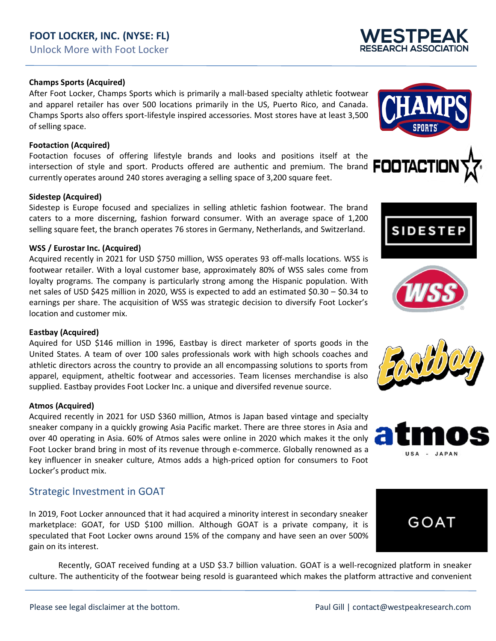### **FOOT LOCKER, INC. (NYSE: FL)** Unlock More with Foot Locker

#### **Champs Sports (Acquired)**

After Foot Locker, Champs Sports which is primarily a mall-based specialty athletic footwear and apparel retailer has over 500 locations primarily in the US, Puerto Rico, and Canada. Champs Sports also offers sport-lifestyle inspired accessories. Most stores have at least 3,500 of selling space.

#### **Footaction (Acquired)**

Footaction focuses of offering lifestyle brands and looks and positions itself at the intersection of style and sport. Products offered are authentic and premium. The brand **FOOTAC** intersection of style and sport. Products offered are authentic and premium. The brand currently operates around 240 stores averaging a selling space of 3,200 square feet.

#### **Sidestep (Acquired)**

Sidestep is Europe focused and specializes in selling athletic fashion footwear. The brand caters to a more discerning, fashion forward consumer. With an average space of 1,200 selling square feet, the branch operates 76 stores in Germany, Netherlands, and Switzerland.

#### **WSS / Eurostar Inc. (Acquired)**

Acquired recently in 2021 for USD \$750 million, WSS operates 93 off-malls locations. WSS is footwear retailer. With a loyal customer base, approximately 80% of WSS sales come from loyalty programs. The company is particularly strong among the Hispanic population. With net sales of USD \$425 million in 2020, WSS is expected to add an estimated \$0.30 – \$0.34 to earnings per share. The acquisition of WSS was strategic decision to diversify Foot Locker's location and customer mix.

#### **Eastbay (Acquired)**

Aquired for USD \$146 million in 1996, Eastbay is direct marketer of sports goods in the United States. A team of over 100 sales professionals work with high schools coaches and athletic directors across the country to provide an all encompassing solutions to sports from apparel, equipment, atheltic footwear and accessories. Team licenses merchandise is also supplied. Eastbay provides Foot Locker Inc. a unique and diversifed revenue source.

#### **Atmos (Acquired)**

Acquired recently in 2021 for USD \$360 million, Atmos is Japan based vintage and specialty sneaker company in a quickly growing Asia Pacific market. There are three stores in Asia and over 40 operating in Asia. 60% of Atmos sales were online in 2020 which makes it the only Foot Locker brand bring in most of its revenue through e-commerce. Globally renowned as a key influencer in sneaker culture, Atmos adds a high-priced option for consumers to Foot Locker's product mix.

#### Strategic Investment in GOAT

In 2019, Foot Locker announced that it had acquired a minority interest in secondary sneaker marketplace: GOAT, for USD \$100 million. Although GOAT is a private company, it is speculated that Foot Locker owns around 15% of the company and have seen an over 500% gain on its interest.

Recently, GOAT received funding at a USD \$3.7 billion valuation. GOAT is a well-recognized platform in sneaker culture. The authenticity of the footwear being resold is guaranteed which makes the platform attractive and convenient





**SIDEST** 









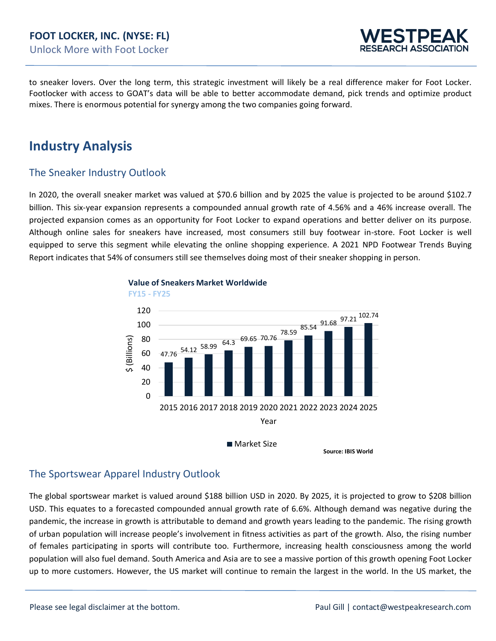

to sneaker lovers. Over the long term, this strategic investment will likely be a real difference maker for Foot Locker. Footlocker with access to GOAT's data will be able to better accommodate demand, pick trends and optimize product mixes. There is enormous potential for synergy among the two companies going forward.

### **Industry Analysis**

#### The Sneaker Industry Outlook

In 2020, the overall sneaker market was valued at \$70.6 billion and by 2025 the value is projected to be around \$102.7 billion. This six-year expansion represents a compounded annual growth rate of 4.56% and a 46% increase overall. The projected expansion comes as an opportunity for Foot Locker to expand operations and better deliver on its purpose. Although online sales for sneakers have increased, most consumers still buy footwear in-store. Foot Locker is well equipped to serve this segment while elevating the online shopping experience. A 2021 NPD Footwear Trends Buying Report indicates that 54% of consumers still see themselves doing most of their sneaker shopping in person.



#### **Value of Sneakers Market Worldwide**

**Source: IBIS World** 

#### The Sportswear Apparel Industry Outlook

The global sportswear market is valued around \$188 billion USD in 2020. By 2025, it is projected to grow to \$208 billion USD. This equates to a forecasted compounded annual growth rate of 6.6%. Although demand was negative during the pandemic, the increase in growth is attributable to demand and growth years leading to the pandemic. The rising growth of urban population will increase people's involvement in fitness activities as part of the growth. Also, the rising number of females participating in sports will contribute too. Furthermore, increasing health consciousness among the world population will also fuel demand. South America and Asia are to see a massive portion of this growth opening Foot Locker up to more customers. However, the US market will continue to remain the largest in the world. In the US market, the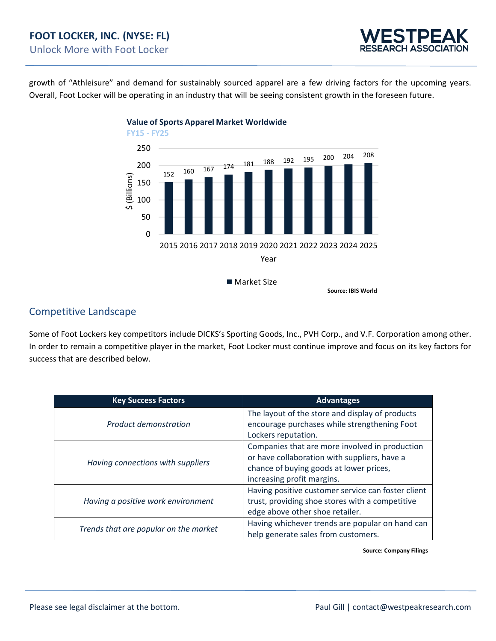

growth of "Athleisure" and demand for sustainably sourced apparel are a few driving factors for the upcoming years. Overall, Foot Locker will be operating in an industry that will be seeing consistent growth in the foreseen future.



Competitive Landscape

Some of Foot Lockers key competitors include DICKS's Sporting Goods, Inc., PVH Corp., and V.F. Corporation among other. In order to remain a competitive player in the market, Foot Locker must continue improve and focus on its key factors for success that are described below.

| <b>Key Success Factors</b>            | <b>Advantages</b>                                                                                                                                                       |  |  |  |  |  |  |
|---------------------------------------|-------------------------------------------------------------------------------------------------------------------------------------------------------------------------|--|--|--|--|--|--|
| Product demonstration                 | The layout of the store and display of products<br>encourage purchases while strengthening Foot<br>Lockers reputation.                                                  |  |  |  |  |  |  |
| Having connections with suppliers     | Companies that are more involved in production<br>or have collaboration with suppliers, have a<br>chance of buying goods at lower prices,<br>increasing profit margins. |  |  |  |  |  |  |
| Having a positive work environment    | Having positive customer service can foster client<br>trust, providing shoe stores with a competitive<br>edge above other shoe retailer.                                |  |  |  |  |  |  |
| Trends that are popular on the market | Having whichever trends are popular on hand can<br>help generate sales from customers.                                                                                  |  |  |  |  |  |  |

**Source: Company Filings**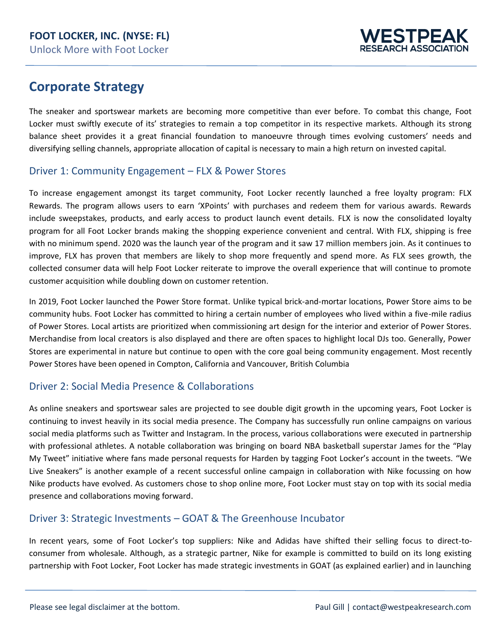

### **Corporate Strategy**

The sneaker and sportswear markets are becoming more competitive than ever before. To combat this change, Foot Locker must swiftly execute of its' strategies to remain a top competitor in its respective markets. Although its strong balance sheet provides it a great financial foundation to manoeuvre through times evolving customers' needs and diversifying selling channels, appropriate allocation of capital is necessary to main a high return on invested capital.

#### Driver 1: Community Engagement – FLX & Power Stores

To increase engagement amongst its target community, Foot Locker recently launched a free loyalty program: FLX Rewards. The program allows users to earn 'XPoints' with purchases and redeem them for various awards. Rewards include sweepstakes, products, and early access to product launch event details. FLX is now the consolidated loyalty program for all Foot Locker brands making the shopping experience convenient and central. With FLX, shipping is free with no minimum spend. 2020 was the launch year of the program and it saw 17 million members join. As it continues to improve, FLX has proven that members are likely to shop more frequently and spend more. As FLX sees growth, the collected consumer data will help Foot Locker reiterate to improve the overall experience that will continue to promote customer acquisition while doubling down on customer retention.

In 2019, Foot Locker launched the Power Store format. Unlike typical brick-and-mortar locations, Power Store aims to be community hubs. Foot Locker has committed to hiring a certain number of employees who lived within a five-mile radius of Power Stores. Local artists are prioritized when commissioning art design for the interior and exterior of Power Stores. Merchandise from local creators is also displayed and there are often spaces to highlight local DJs too. Generally, Power Stores are experimental in nature but continue to open with the core goal being community engagement. Most recently Power Stores have been opened in Compton, California and Vancouver, British Columbia

#### Driver 2: Social Media Presence & Collaborations

As online sneakers and sportswear sales are projected to see double digit growth in the upcoming years, Foot Locker is continuing to invest heavily in its social media presence. The Company has successfully run online campaigns on various social media platforms such as Twitter and Instagram. In the process, various collaborations were executed in partnership with professional athletes. A notable collaboration was bringing on board NBA basketball superstar James for the "Play My Tweet" initiative where fans made personal requests for Harden by tagging Foot Locker's account in the tweets. "We Live Sneakers" is another example of a recent successful online campaign in collaboration with Nike focussing on how Nike products have evolved. As customers chose to shop online more, Foot Locker must stay on top with its social media presence and collaborations moving forward.

#### Driver 3: Strategic Investments – GOAT & The Greenhouse Incubator

In recent years, some of Foot Locker's top suppliers: Nike and Adidas have shifted their selling focus to direct-toconsumer from wholesale. Although, as a strategic partner, Nike for example is committed to build on its long existing partnership with Foot Locker, Foot Locker has made strategic investments in GOAT (as explained earlier) and in launching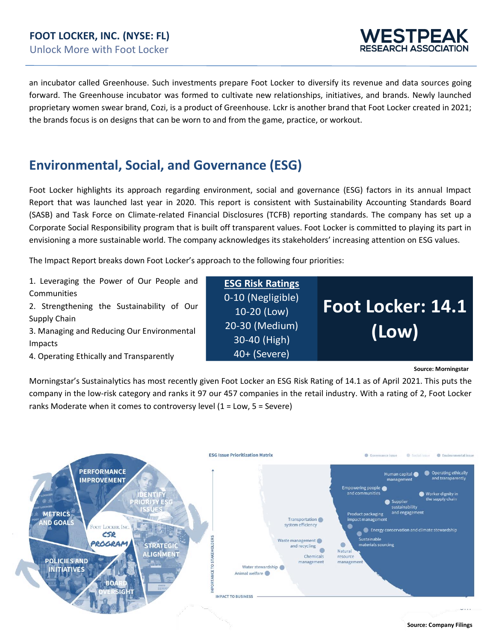

an incubator called Greenhouse. Such investments prepare Foot Locker to diversify its revenue and data sources going forward. The Greenhouse incubator was formed to cultivate new relationships, initiatives, and brands. Newly launched proprietary women swear brand, Cozi, is a product of Greenhouse. Lckr is another brand that Foot Locker created in 2021; the brands focus is on designs that can be worn to and from the game, practice, or workout.

### **Environmental, Social, and Governance (ESG)**

Foot Locker highlights its approach regarding environment, social and governance (ESG) factors in its annual Impact Report that was launched last year in 2020. This report is consistent with Sustainability Accounting Standards Board (SASB) and Task Force on Climate-related Financial Disclosures (TCFB) reporting standards. The company has set up a Corporate Social Responsibility program that is built off transparent values. Foot Locker is committed to playing its part in envisioning a more sustainable world. The company acknowledges its stakeholders' increasing attention on ESG values.

The Impact Report breaks down Foot Locker's approach to the following four priorities:

1. Leveraging the Power of Our People and Communities

2. Strengthening the Sustainability of Our Supply Chain

3. Managing and Reducing Our Environmental Impacts

4. Operating Ethically and Transparently

**ESG Risk Ratings** 0-10 (Negligible) 10-20 (Low) 20-30 (Medium) 30-40 (High) 40+ (Severe)

**Source: Morningstar** 

**Foot Locker: 14.1** 

**(Low)**

Morningstar's Sustainalytics has most recently given Foot Locker an ESG Risk Rating of 14.1 as of April 2021. This puts the company in the low-risk category and ranks it 97 our 457 companies in the retail industry. With a rating of 2, Foot Locker ranks Moderate when it comes to controversy level (1 = Low, 5 = Severe)



**Source: Company Filings**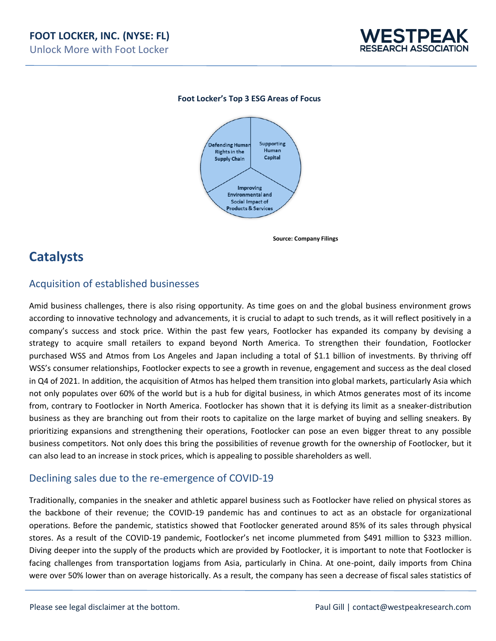

#### **Foot Locker's Top 3 ESG Areas of Focus**



**Source: Company Filings** 

### **Catalysts**

#### Acquisition of established businesses

Amid business challenges, there is also rising opportunity. As time goes on and the global business environment grows according to innovative technology and advancements, it is crucial to adapt to such trends, as it will reflect positively in a company's success and stock price. Within the past few years, Footlocker has expanded its company by devising a strategy to acquire small retailers to expand beyond North America. To strengthen their foundation, Footlocker purchased WSS and Atmos from Los Angeles and Japan including a total of \$1.1 billion of investments. By thriving off WSS's consumer relationships, Footlocker expects to see a growth in revenue, engagement and success as the deal closed in Q4 of 2021. In addition, the acquisition of Atmos has helped them transition into global markets, particularly Asia which not only populates over 60% of the world but is a hub for digital business, in which Atmos generates most of its income from, contrary to Footlocker in North America. Footlocker has shown that it is defying its limit as a sneaker-distribution business as they are branching out from their roots to capitalize on the large market of buying and selling sneakers. By prioritizing expansions and strengthening their operations, Footlocker can pose an even bigger threat to any possible business competitors. Not only does this bring the possibilities of revenue growth for the ownership of Footlocker, but it can also lead to an increase in stock prices, which is appealing to possible shareholders as well.

#### Declining sales due to the re-emergence of COVID-19

Traditionally, companies in the sneaker and athletic apparel business such as Footlocker have relied on physical stores as the backbone of their revenue; the COVID-19 pandemic has and continues to act as an obstacle for organizational operations. Before the pandemic, statistics showed that Footlocker generated around 85% of its sales through physical stores. As a result of the COVID-19 pandemic, Footlocker's net income plummeted from \$491 million to \$323 million. Diving deeper into the supply of the products which are provided by Footlocker, it is important to note that Footlocker is facing challenges from transportation logjams from Asia, particularly in China. At one-point, daily imports from China were over 50% lower than on average historically. As a result, the company has seen a decrease of fiscal sales statistics of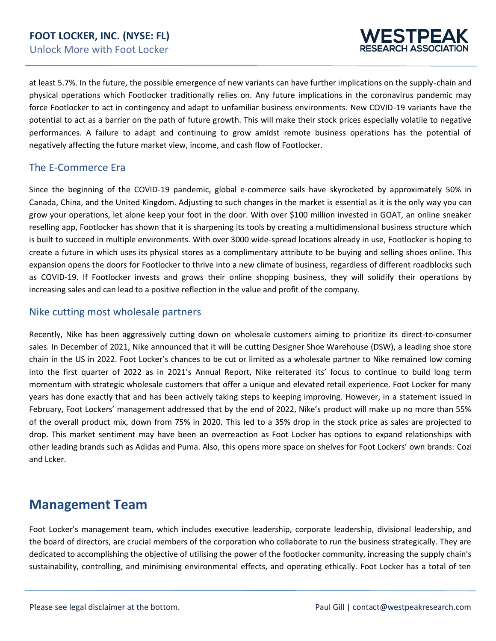

at least 5.7%. In the future, the possible emergence of new variants can have further implications on the supply-chain and physical operations which Footlocker traditionally relies on. Any future implications in the coronavirus pandemic may force Footlocker to act in contingency and adapt to unfamiliar business environments. New COVID-19 variants have the potential to act as a barrier on the path of future growth. This will make their stock prices especially volatile to negative performances. A failure to adapt and continuing to grow amidst remote business operations has the potential of negatively affecting the future market view, income, and cash flow of Footlocker.

#### The E-Commerce Era

Since the beginning of the COVID-19 pandemic, global e-commerce sails have skyrocketed by approximately 50% in Canada, China, and the United Kingdom. Adjusting to such changes in the market is essential as it is the only way you can grow your operations, let alone keep your foot in the door. With over \$100 million invested in GOAT, an online sneaker reselling app, Footlocker has shown that it is sharpening its tools by creating a multidimensional business structure which is built to succeed in multiple environments. With over 3000 wide-spread locations already in use, Footlocker is hoping to create a future in which uses its physical stores as a complimentary attribute to be buying and selling shoes online. This expansion opens the doors for Footlocker to thrive into a new climate of business, regardless of different roadblocks such as COVID-19. If Footlocker invests and grows their online shopping business, they will solidify their operations by increasing sales and can lead to a positive reflection in the value and profit of the company.

#### Nike cutting most wholesale partners

Recently, Nike has been aggressively cutting down on wholesale customers aiming to prioritize its direct-to-consumer sales. In December of 2021, Nike announced that it will be cutting Designer Shoe Warehouse (DSW), a leading shoe store chain in the US in 2022. Foot Locker's chances to be cut or limited as a wholesale partner to Nike remained low coming into the first quarter of 2022 as in 2021's Annual Report, Nike reiterated its' focus to continue to build long term momentum with strategic wholesale customers that offer a unique and elevated retail experience. Foot Locker for many years has done exactly that and has been actively taking steps to keeping improving. However, in a statement issued in February, Foot Lockers' management addressed that by the end of 2022, Nike's product will make up no more than 55% of the overall product mix, down from 75% in 2020. This led to a 35% drop in the stock price as sales are projected to drop. This market sentiment may have been an overreaction as Foot Locker has options to expand relationships with other leading brands such as Adidas and Puma. Also, this opens more space on shelves for Foot Lockers' own brands: Cozi and Lcker.

### **Management Team**

Foot Locker's management team, which includes executive leadership, corporate leadership, divisional leadership, and the board of directors, are crucial members of the corporation who collaborate to run the business strategically. They are dedicated to accomplishing the objective of utilising the power of the footlocker community, increasing the supply chain's sustainability, controlling, and minimising environmental effects, and operating ethically. Foot Locker has a total of ten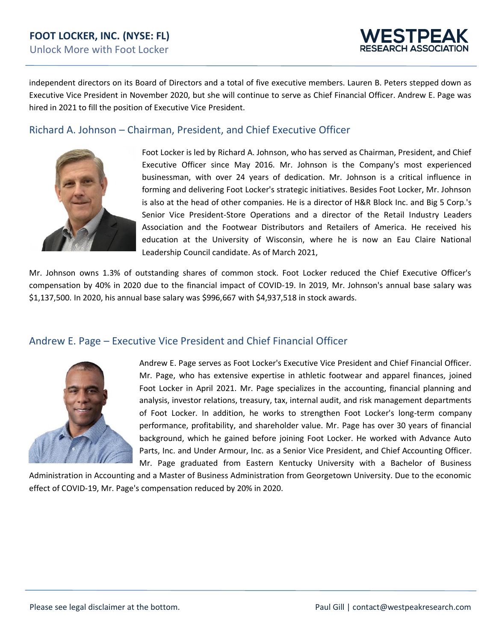

independent directors on its Board of Directors and a total of five executive members. Lauren B. Peters stepped down as Executive Vice President in November 2020, but she will continue to serve as Chief Financial Officer. Andrew E. Page was hired in 2021 to fill the position of Executive Vice President.

#### Richard A. Johnson – Chairman, President, and Chief Executive Officer



Foot Locker is led by Richard A. Johnson, who has served as Chairman, President, and Chief Executive Officer since May 2016. Mr. Johnson is the Company's most experienced businessman, with over 24 years of dedication. Mr. Johnson is a critical influence in forming and delivering Foot Locker's strategic initiatives. Besides Foot Locker, Mr. Johnson is also at the head of other companies. He is a director of H&R Block Inc. and Big 5 Corp.'s Senior Vice President-Store Operations and a director of the Retail Industry Leaders Association and the Footwear Distributors and Retailers of America. He received his education at the University of Wisconsin, where he is now an Eau Claire National Leadership Council candidate. As of March 2021,

Mr. Johnson owns 1.3% of outstanding shares of common stock. Foot Locker reduced the Chief Executive Officer's compensation by 40% in 2020 due to the financial impact of COVID-19. In 2019, Mr. Johnson's annual base salary was \$1,137,500. In 2020, his annual base salary was \$996,667 with \$4,937,518 in stock awards.

#### Andrew E. Page – Executive Vice President and Chief Financial Officer



Andrew E. Page serves as Foot Locker's Executive Vice President and Chief Financial Officer. Mr. Page, who has extensive expertise in athletic footwear and apparel finances, joined Foot Locker in April 2021. Mr. Page specializes in the accounting, financial planning and analysis, investor relations, treasury, tax, internal audit, and risk management departments of Foot Locker. In addition, he works to strengthen Foot Locker's long-term company performance, profitability, and shareholder value. Mr. Page has over 30 years of financial background, which he gained before joining Foot Locker. He worked with Advance Auto Parts, Inc. and Under Armour, Inc. as a Senior Vice President, and Chief Accounting Officer. Mr. Page graduated from Eastern Kentucky University with a Bachelor of Business

Administration in Accounting and a Master of Business Administration from Georgetown University. Due to the economic effect of COVID-19, Mr. Page's compensation reduced by 20% in 2020.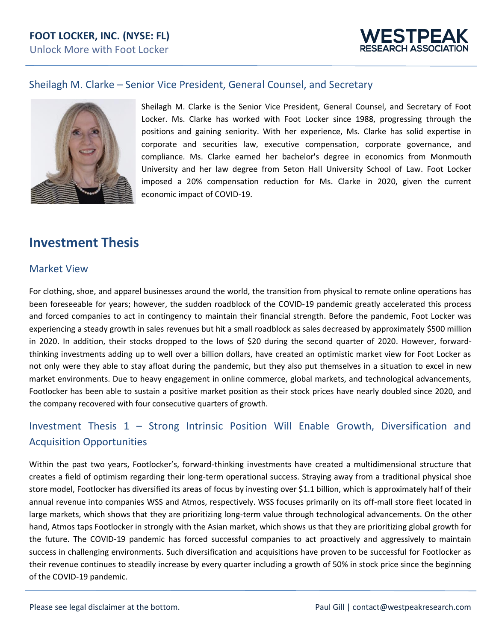

#### Sheilagh M. Clarke – Senior Vice President, General Counsel, and Secretary



Sheilagh M. Clarke is the Senior Vice President, General Counsel, and Secretary of Foot Locker. Ms. Clarke has worked with Foot Locker since 1988, progressing through the positions and gaining seniority. With her experience, Ms. Clarke has solid expertise in corporate and securities law, executive compensation, corporate governance, and compliance. Ms. Clarke earned her bachelor's degree in economics from Monmouth University and her law degree from Seton Hall University School of Law. Foot Locker imposed a 20% compensation reduction for Ms. Clarke in 2020, given the current economic impact of COVID-19.

### **Investment Thesis**

#### Market View

For clothing, shoe, and apparel businesses around the world, the transition from physical to remote online operations has been foreseeable for years; however, the sudden roadblock of the COVID-19 pandemic greatly accelerated this process and forced companies to act in contingency to maintain their financial strength. Before the pandemic, Foot Locker was experiencing a steady growth in sales revenues but hit a small roadblock as sales decreased by approximately \$500 million in 2020. In addition, their stocks dropped to the lows of \$20 during the second quarter of 2020. However, forwardthinking investments adding up to well over a billion dollars, have created an optimistic market view for Foot Locker as not only were they able to stay afloat during the pandemic, but they also put themselves in a situation to excel in new market environments. Due to heavy engagement in online commerce, global markets, and technological advancements, Footlocker has been able to sustain a positive market position as their stock prices have nearly doubled since 2020, and the company recovered with four consecutive quarters of growth.

### Investment Thesis 1 – Strong Intrinsic Position Will Enable Growth, Diversification and Acquisition Opportunities

Within the past two years, Footlocker's, forward-thinking investments have created a multidimensional structure that creates a field of optimism regarding their long-term operational success. Straying away from a traditional physical shoe store model, Footlocker has diversified its areas of focus by investing over \$1.1 billion, which is approximately half of their annual revenue into companies WSS and Atmos, respectively. WSS focuses primarily on its off-mall store fleet located in large markets, which shows that they are prioritizing long-term value through technological advancements. On the other hand, Atmos taps Footlocker in strongly with the Asian market, which shows us that they are prioritizing global growth for the future. The COVID-19 pandemic has forced successful companies to act proactively and aggressively to maintain success in challenging environments. Such diversification and acquisitions have proven to be successful for Footlocker as their revenue continues to steadily increase by every quarter including a growth of 50% in stock price since the beginning of the COVID-19 pandemic.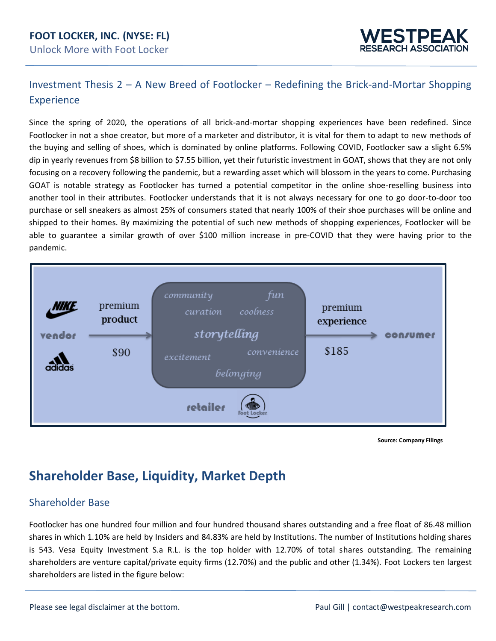#### **FOOT LOCKER, INC. (NYSE: FL)** Unlock More with Foot Locker



### Investment Thesis 2 – A New Breed of Footlocker – Redefining the Brick-and-Mortar Shopping **Experience**

Since the spring of 2020, the operations of all brick-and-mortar shopping experiences have been redefined. Since Footlocker in not a shoe creator, but more of a marketer and distributor, it is vital for them to adapt to new methods of the buying and selling of shoes, which is dominated by online platforms. Following COVID, Footlocker saw a slight 6.5% dip in yearly revenues from \$8 billion to \$7.55 billion, yet their futuristic investment in GOAT, shows that they are not only focusing on a recovery following the pandemic, but a rewarding asset which will blossom in the years to come. Purchasing GOAT is notable strategy as Footlocker has turned a potential competitor in the online shoe-reselling business into another tool in their attributes. Footlocker understands that it is not always necessary for one to go door-to-door too purchase or sell sneakers as almost 25% of consumers stated that nearly 100% of their shoe purchases will be online and shipped to their homes. By maximizing the potential of such new methods of shopping experiences, Footlocker will be able to guarantee a similar growth of over \$100 million increase in pre-COVID that they were having prior to the pandemic.



**Source: Company Filings** 

### **Shareholder Base, Liquidity, Market Depth**

#### Shareholder Base

Footlocker has one hundred four million and four hundred thousand shares outstanding and a free float of 86.48 million shares in which 1.10% are held by Insiders and 84.83% are held by Institutions. The number of Institutions holding shares is 543. Vesa Equity Investment S.a R.L. is the top holder with 12.70% of total shares outstanding. The remaining shareholders are venture capital/private equity firms (12.70%) and the public and other (1.34%). Foot Lockers ten largest shareholders are listed in the figure below: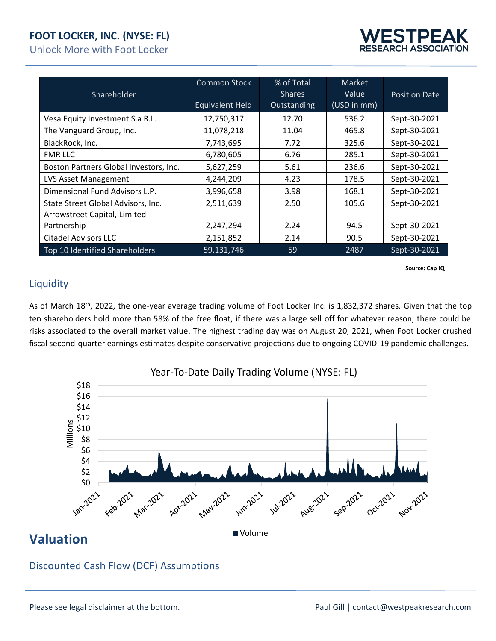### **FOOT LOCKER, INC. (NYSE: FL)**

Unlock More with Foot Locker



| Shareholder                            | <b>Common Stock</b><br><b>Equivalent Held</b> | % of Total<br><b>Shares</b><br>Outstanding | <b>Market</b><br>Value<br>(USD in mm) | <b>Position Date</b> |
|----------------------------------------|-----------------------------------------------|--------------------------------------------|---------------------------------------|----------------------|
| Vesa Equity Investment S.a R.L.        | 12,750,317                                    | 12.70                                      | 536.2                                 | Sept-30-2021         |
| The Vanguard Group, Inc.               | 11,078,218                                    | 11.04                                      | 465.8                                 | Sept-30-2021         |
| BlackRock, Inc.                        | 7,743,695                                     | 7.72                                       | 325.6                                 | Sept-30-2021         |
| <b>FMR LLC</b>                         | 6,780,605                                     | 6.76                                       | 285.1                                 | Sept-30-2021         |
| Boston Partners Global Investors, Inc. | 5,627,259                                     | 5.61                                       | 236.6                                 | Sept-30-2021         |
| LVS Asset Management                   | 4,244,209                                     | 4.23                                       | 178.5                                 | Sept-30-2021         |
| Dimensional Fund Advisors L.P.         | 3,996,658                                     | 3.98                                       | 168.1                                 | Sept-30-2021         |
| State Street Global Advisors, Inc.     | 2,511,639                                     | 2.50                                       | 105.6                                 | Sept-30-2021         |
| Arrowstreet Capital, Limited           |                                               |                                            |                                       |                      |
| Partnership                            | 2,247,294                                     | 2.24                                       | 94.5                                  | Sept-30-2021         |
| <b>Citadel Advisors LLC</b>            | 2,151,852                                     | 2.14                                       | 90.5                                  | Sept-30-2021         |
| Top 10 Identified Shareholders         | 59,131,746                                    | 59                                         | 2487                                  | Sept-30-2021         |

**Source: Cap IQ** 

#### **Liquidity**

As of March 18<sup>th</sup>, 2022, the one-year average trading volume of Foot Locker Inc. is 1,832,372 shares. Given that the top ten shareholders hold more than 58% of the free float, if there was a large sell off for whatever reason, there could be risks associated to the overall market value. The highest trading day was on August 20, 2021, when Foot Locker crushed fiscal second-quarter earnings estimates despite conservative projections due to ongoing COVID-19 pandemic challenges.



Year-To-Date Daily Trading Volume (NYSE: FL)

### **Valuation**

### Discounted Cash Flow (DCF) Assumptions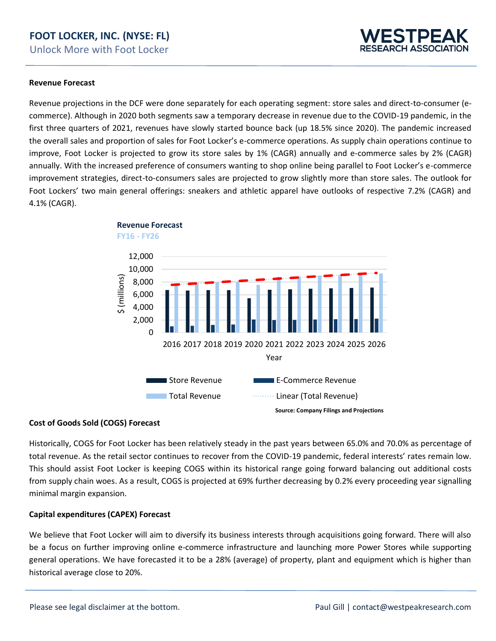#### **FOOT LOCKER, INC. (NYSE: FL)** Unlock More with Foot Locker

#### **Revenue Forecast**

Revenue projections in the DCF were done separately for each operating segment: store sales and direct-to-consumer (ecommerce). Although in 2020 both segments saw a temporary decrease in revenue due to the COVID-19 pandemic, in the first three quarters of 2021, revenues have slowly started bounce back (up 18.5% since 2020). The pandemic increased the overall sales and proportion of sales for Foot Locker's e-commerce operations. As supply chain operations continue to improve, Foot Locker is projected to grow its store sales by 1% (CAGR) annually and e-commerce sales by 2% (CAGR) annually. With the increased preference of consumers wanting to shop online being parallel to Foot Locker's e-commerce improvement strategies, direct-to-consumers sales are projected to grow slightly more than store sales. The outlook for Foot Lockers' two main general offerings: sneakers and athletic apparel have outlooks of respective 7.2% (CAGR) and 4.1% (CAGR).



#### **Cost of Goods Sold (COGS) Forecast**

Historically, COGS for Foot Locker has been relatively steady in the past years between 65.0% and 70.0% as percentage of total revenue. As the retail sector continues to recover from the COVID-19 pandemic, federal interests' rates remain low. This should assist Foot Locker is keeping COGS within its historical range going forward balancing out additional costs from supply chain woes. As a result, COGS is projected at 69% further decreasing by 0.2% every proceeding year signalling minimal margin expansion.

#### **Capital expenditures (CAPEX) Forecast**

We believe that Foot Locker will aim to diversify its business interests through acquisitions going forward. There will also be a focus on further improving online e-commerce infrastructure and launching more Power Stores while supporting general operations. We have forecasted it to be a 28% (average) of property, plant and equipment which is higher than historical average close to 20%.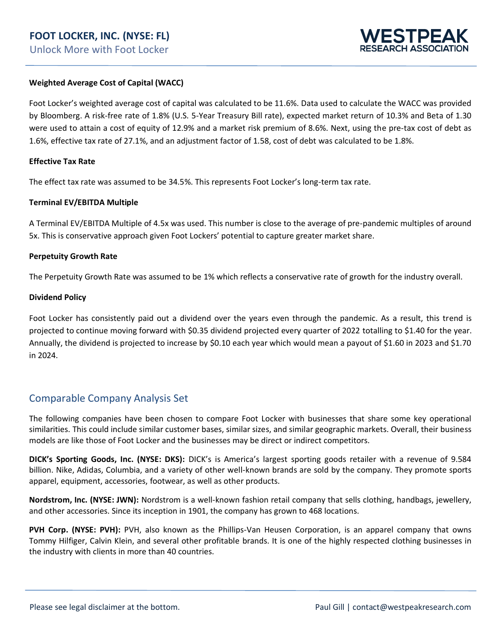

#### **Weighted Average Cost of Capital (WACC)**

Foot Locker's weighted average cost of capital was calculated to be 11.6%. Data used to calculate the WACC was provided by Bloomberg. A risk-free rate of 1.8% (U.S. 5-Year Treasury Bill rate), expected market return of 10.3% and Beta of 1.30 were used to attain a cost of equity of 12.9% and a market risk premium of 8.6%. Next, using the pre-tax cost of debt as 1.6%, effective tax rate of 27.1%, and an adjustment factor of 1.58, cost of debt was calculated to be 1.8%.

#### **Effective Tax Rate**

The effect tax rate was assumed to be 34.5%. This represents Foot Locker's long-term tax rate.

#### **Terminal EV/EBITDA Multiple**

A Terminal EV/EBITDA Multiple of 4.5x was used. This number is close to the average of pre-pandemic multiples of around 5x. This is conservative approach given Foot Lockers' potential to capture greater market share.

#### **Perpetuity Growth Rate**

The Perpetuity Growth Rate was assumed to be 1% which reflects a conservative rate of growth for the industry overall.

#### **Dividend Policy**

Foot Locker has consistently paid out a dividend over the years even through the pandemic. As a result, this trend is projected to continue moving forward with \$0.35 dividend projected every quarter of 2022 totalling to \$1.40 for the year. Annually, the dividend is projected to increase by \$0.10 each year which would mean a payout of \$1.60 in 2023 and \$1.70 in 2024.

#### Comparable Company Analysis Set

The following companies have been chosen to compare Foot Locker with businesses that share some key operational similarities. This could include similar customer bases, similar sizes, and similar geographic markets. Overall, their business models are like those of Foot Locker and the businesses may be direct or indirect competitors.

**DICK's Sporting Goods, Inc. (NYSE: DKS):** DICK's is America's largest sporting goods retailer with a revenue of 9.584 billion. Nike, Adidas, Columbia, and a variety of other well-known brands are sold by the company. They promote sports apparel, equipment, accessories, footwear, as well as other products.

**Nordstrom, Inc. (NYSE: JWN):** Nordstrom is a well-known fashion retail company that sells clothing, handbags, jewellery, and other accessories. Since its inception in 1901, the company has grown to 468 locations.

**PVH Corp. (NYSE: PVH):** PVH, also known as the Phillips-Van Heusen Corporation, is an apparel company that owns Tommy Hilfiger, Calvin Klein, and several other profitable brands. It is one of the highly respected clothing businesses in the industry with clients in more than 40 countries.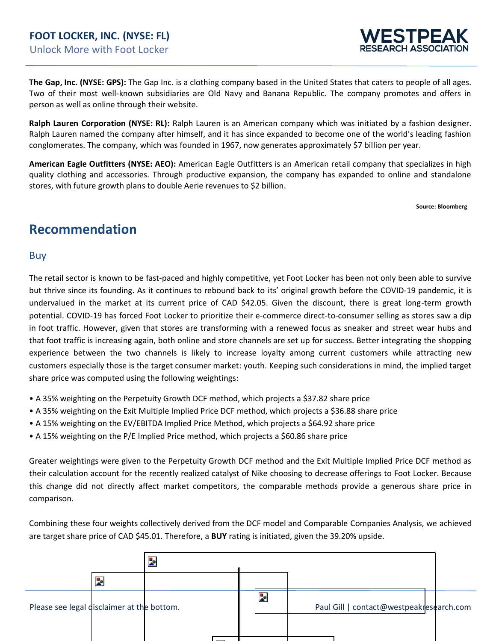

**The Gap, Inc. (NYSE: GPS):** The Gap Inc. is a clothing company based in the United States that caters to people of all ages. Two of their most well-known subsidiaries are Old Navy and Banana Republic. The company promotes and offers in person as well as online through their website.

**Ralph Lauren Corporation (NYSE: RL):** Ralph Lauren is an American company which was initiated by a fashion designer. Ralph Lauren named the company after himself, and it has since expanded to become one of the world's leading fashion conglomerates. The company, which was founded in 1967, now generates approximately \$7 billion per year.

**American Eagle Outfitters (NYSE: AEO):** American Eagle Outfitters is an American retail company that specializes in high quality clothing and accessories. Through productive expansion, the company has expanded to online and standalone stores, with future growth plans to double Aerie revenues to \$2 billion.

**Source: Bloomberg**

### **Recommendation**

#### Buy

The retail sector is known to be fast-paced and highly competitive, yet Foot Locker has been not only been able to survive but thrive since its founding. As it continues to rebound back to its' original growth before the COVID-19 pandemic, it is undervalued in the market at its current price of CAD \$42.05. Given the discount, there is great long-term growth potential. COVID-19 has forced Foot Locker to prioritize their e-commerce direct-to-consumer selling as stores saw a dip in foot traffic. However, given that stores are transforming with a renewed focus as sneaker and street wear hubs and that foot traffic is increasing again, both online and store channels are set up for success. Better integrating the shopping experience between the two channels is likely to increase loyalty among current customers while attracting new customers especially those is the target consumer market: youth. Keeping such considerations in mind, the implied target share price was computed using the following weightings:

- A 35% weighting on the Perpetuity Growth DCF method, which projects a \$37.82 share price
- A 35% weighting on the Exit Multiple Implied Price DCF method, which projects a \$36.88 share price
- A 15% weighting on the EV/EBITDA Implied Price Method, which projects a \$64.92 share price
- A 15% weighting on the P/E Implied Price method, which projects a \$60.86 share price

Greater weightings were given to the Perpetuity Growth DCF method and the Exit Multiple Implied Price DCF method as their calculation account for the recently realized catalyst of Nike choosing to decrease offerings to Foot Locker. Because this change did not directly affect market competitors, the comparable methods provide a generous share price in comparison.

Combining these four weights collectively derived from the DCF model and Comparable Companies Analysis, we achieved are target share price of CAD \$45.01. Therefore, a **BUY** rating is initiated, given the 39.20% upside.

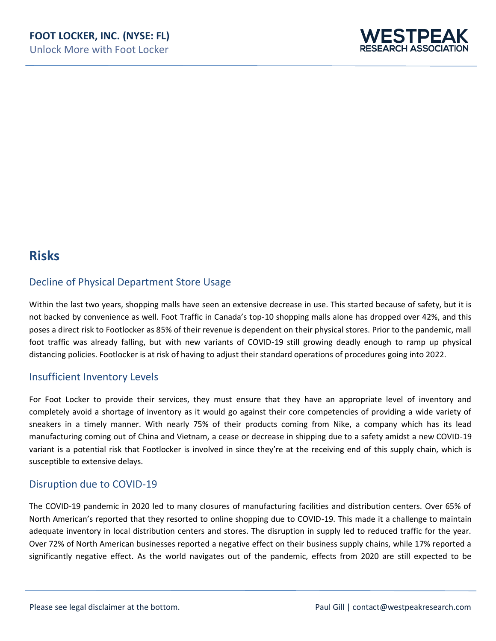

### **Risks**

### Decline of Physical Department Store Usage

Within the last two years, shopping malls have seen an extensive decrease in use. This started because of safety, but it is not backed by convenience as well. Foot Traffic in Canada's top-10 shopping malls alone has dropped over 42%, and this poses a direct risk to Footlocker as 85% of their revenue is dependent on their physical stores. Prior to the pandemic, mall foot traffic was already falling, but with new variants of COVID-19 still growing deadly enough to ramp up physical distancing policies. Footlocker is at risk of having to adjust their standard operations of procedures going into 2022.

#### Insufficient Inventory Levels

For Foot Locker to provide their services, they must ensure that they have an appropriate level of inventory and completely avoid a shortage of inventory as it would go against their core competencies of providing a wide variety of sneakers in a timely manner. With nearly 75% of their products coming from Nike, a company which has its lead manufacturing coming out of China and Vietnam, a cease or decrease in shipping due to a safety amidst a new COVID-19 variant is a potential risk that Footlocker is involved in since they're at the receiving end of this supply chain, which is susceptible to extensive delays.

#### Disruption due to COVID-19

The COVID-19 pandemic in 2020 led to many closures of manufacturing facilities and distribution centers. Over 65% of North American's reported that they resorted to online shopping due to COVID-19. This made it a challenge to maintain adequate inventory in local distribution centers and stores. The disruption in supply led to reduced traffic for the year. Over 72% of North American businesses reported a negative effect on their business supply chains, while 17% reported a significantly negative effect. As the world navigates out of the pandemic, effects from 2020 are still expected to be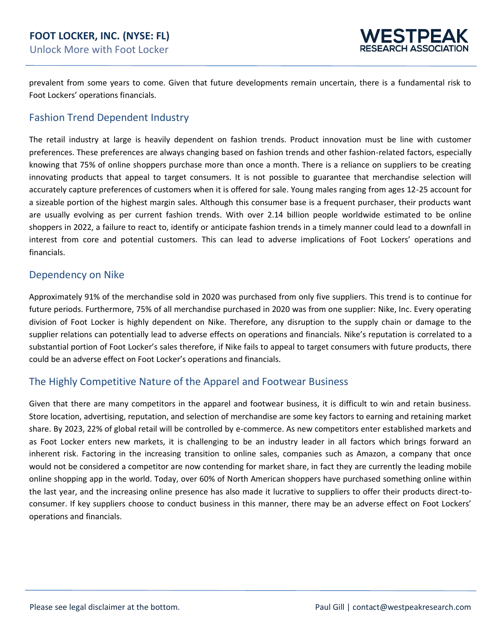

prevalent from some years to come. Given that future developments remain uncertain, there is a fundamental risk to Foot Lockers' operations financials.

#### Fashion Trend Dependent Industry

The retail industry at large is heavily dependent on fashion trends. Product innovation must be line with customer preferences. These preferences are always changing based on fashion trends and other fashion-related factors, especially knowing that 75% of online shoppers purchase more than once a month. There is a reliance on suppliers to be creating innovating products that appeal to target consumers. It is not possible to guarantee that merchandise selection will accurately capture preferences of customers when it is offered for sale. Young males ranging from ages 12-25 account for a sizeable portion of the highest margin sales. Although this consumer base is a frequent purchaser, their products want are usually evolving as per current fashion trends. With over 2.14 billion people worldwide estimated to be online shoppers in 2022, a failure to react to, identify or anticipate fashion trends in a timely manner could lead to a downfall in interest from core and potential customers. This can lead to adverse implications of Foot Lockers' operations and financials.

#### Dependency on Nike

Approximately 91% of the merchandise sold in 2020 was purchased from only five suppliers. This trend is to continue for future periods. Furthermore, 75% of all merchandise purchased in 2020 was from one supplier: Nike, Inc. Every operating division of Foot Locker is highly dependent on Nike. Therefore, any disruption to the supply chain or damage to the supplier relations can potentially lead to adverse effects on operations and financials. Nike's reputation is correlated to a substantial portion of Foot Locker's sales therefore, if Nike fails to appeal to target consumers with future products, there could be an adverse effect on Foot Locker's operations and financials.

#### The Highly Competitive Nature of the Apparel and Footwear Business

Given that there are many competitors in the apparel and footwear business, it is difficult to win and retain business. Store location, advertising, reputation, and selection of merchandise are some key factors to earning and retaining market share. By 2023, 22% of global retail will be controlled by e-commerce. As new competitors enter established markets and as Foot Locker enters new markets, it is challenging to be an industry leader in all factors which brings forward an inherent risk. Factoring in the increasing transition to online sales, companies such as Amazon, a company that once would not be considered a competitor are now contending for market share, in fact they are currently the leading mobile online shopping app in the world. Today, over 60% of North American shoppers have purchased something online within the last year, and the increasing online presence has also made it lucrative to suppliers to offer their products direct-toconsumer. If key suppliers choose to conduct business in this manner, there may be an adverse effect on Foot Lockers' operations and financials.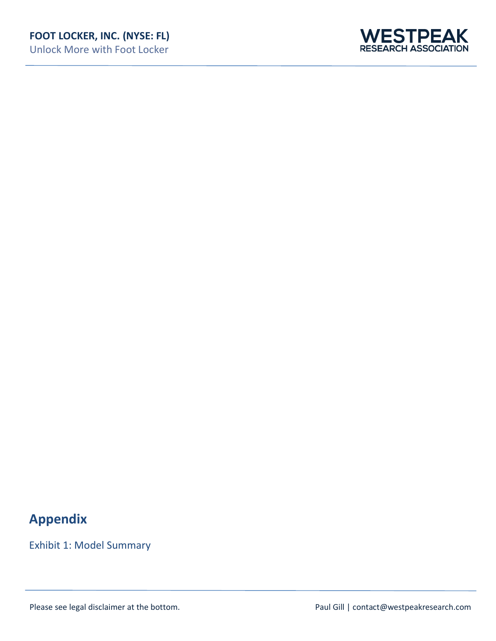Unlock More with Foot Locker



## **Appendix**

Exhibit 1: Model Summary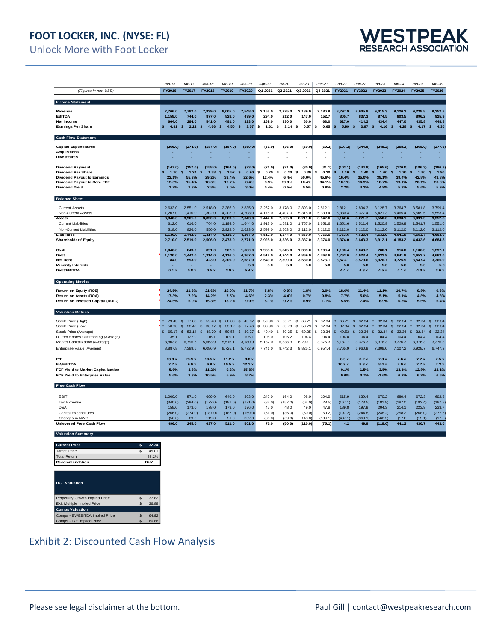### **FOOT LOCKER, INC. (NYSE: FL)**

Unlock More with Foot Locker



|                                                                         | $Jan-16$              | Jan-17             | $Jan-18$              | $Jan-19$                    | Jan-20                | Apr-20             | $Jul-20$           | $Oct-20$           | $Jan-21$         | Jan-21                      | $Jan-22$                | $Jan-23$              | $Jan-24$              | $Jan-25$                    | Jan-26                      |
|-------------------------------------------------------------------------|-----------------------|--------------------|-----------------------|-----------------------------|-----------------------|--------------------|--------------------|--------------------|------------------|-----------------------------|-------------------------|-----------------------|-----------------------|-----------------------------|-----------------------------|
| (Figures in mm USD)                                                     | FY2016                | FY2017             | FY2018                | FY2019                      | FY2020                | Q1-2021            | Q2-2021            | Q3-2021            | Q4-2021          | FY2021                      | FY2022                  | FY2023                | FY2024                | FY2025                      | FY2026                      |
|                                                                         |                       |                    |                       |                             |                       |                    |                    |                    |                  |                             |                         |                       |                       |                             |                             |
| Income Statement                                                        |                       |                    |                       |                             |                       |                    |                    |                    |                  |                             |                         |                       |                       |                             |                             |
| Revenue                                                                 | 7.766.0               | 7.782.0            | 7.939.0               | 8.005.0                     | 7,548.0               | 2.153.0            | 2.275.0            | 2,189.0            | 2.180.9          | 8.797.9                     | 8.905.9                 | 9.015.3               | 9.126.3               | 9.238.8                     | 9.352.8                     |
| <b>EBITDA</b>                                                           | 1,158.0               | 744.0              | 877.0                 | 828.0                       | 479.0                 | 294.0              | 212.0              | 147.0              | 152.7            | 805.7                       | 837.3                   | 874.5                 | 903.5                 | 896.2                       | 925.9                       |
| <b>Net Income</b>                                                       | 664.0                 | 284.0              | 541.0                 | 491.0                       | 323.0                 | 169.0              | 330.0              | 60.0               | 68.0             | 627.0                       | 414.2                   | 434.4                 | 447.0                 | 435.8                       | 448.8                       |
| <b>Earnings Per Share</b>                                               | Ś<br>4.91             | 2.22<br>s          | <b>S</b><br>4.66      | $\boldsymbol{s}$<br>4.50    | $\mathbf{s}$<br>3.07  | 1.61<br>\$         | 3.14<br>-S         | s<br>0.57          | 0.65             | 5.99<br>\$                  | $\mathsf{s}$<br>3.97    | <b>S</b><br>4.16      | 4.28<br>- \$          | $\boldsymbol{s}$<br>4.17    | 4.30<br><b>S</b>            |
| <b>Cash Flow Statement</b>                                              |                       |                    |                       |                             |                       |                    |                    |                    |                  |                             |                         |                       |                       |                             |                             |
| <b>Capital Expenditures</b>                                             | (266.0)               | (274.0)            | (187.0)               | (187.0)                     | (159.0)               | (51.0)             | (36.0)             | (50.0)             | (60.2)           | (197.2)                     | (244.8)                 | (248.2)               | (258.2)               | (268.0)                     | (277.6)                     |
| <b>Acquisitions</b>                                                     |                       |                    |                       |                             |                       |                    |                    |                    |                  |                             |                         |                       |                       |                             |                             |
| <b>Divestitures</b>                                                     |                       |                    |                       |                             |                       |                    |                    |                    |                  |                             |                         |                       |                       |                             |                             |
| <b>Dividend Payment</b>                                                 | (147.0)               | (157.0)            | (158.0)               | (164.0)                     | (73.0)                | (21.0)             | (21.0)             | (30.0)             | (31.1)           | (103.1)                     | (144.9)                 | (165.6)               | (176.0)               | (186.3)                     | (196.7)                     |
| <b>Dividend Per Share</b>                                               | 1.10                  | s<br>1.24          | 1.38                  | s<br>1.52                   | s<br>0.90             | \$<br>0.20         | Ś<br>0.30          | s<br>0.30          | 0.30             | 1.10                        | <sup>s</sup><br>1.40    | ś<br>1.60             | 1.70                  | s<br>1.80                   | s<br>1.90                   |
| <b>Dividend Payout to Earnings</b>                                      | 22.1%                 | 55.3%              | 29.2%                 | 33.4%                       | 22.6%                 | 12.4%              | 6.4%               | 50.0%              | 45.6%            | 16.4%                       | 35.0%                   | 38.1%                 | 39.4%                 | 42.8%                       | 43.8%                       |
| Dividend Payout to Core FCF                                             | 12.6%                 | 15.4%              | 18.6%                 | 19.7%                       | 8.4%                  | 3.9%               | 19.3%              | 10.4%              | 34.1%            | 10.1%                       | 16.9%                   | 18.7%                 | 19.1%                 | 20.1%                       | 20.5%                       |
| <b>Dividend Yield</b>                                                   | 1.7%                  | 2.3%               | 2.8%                  | 3.0%                        | 3.0%                  | 0.4%               | 0.5%               | 0.5%               | 0.9%             | 2.2%                        | 4.3%                    | 4.9%                  | 5.3%                  | 5.6%                        | 5.9%                        |
| <b>Balance Sheet</b>                                                    |                       |                    |                       |                             |                       |                    |                    |                    |                  |                             |                         |                       |                       |                             |                             |
| <b>Current Assets</b>                                                   | 2.633.0               | 2,551.0            | 2,518.0               | 2,386.0                     | 2,835.0               | 3.267.0            | 3,178.0            | 2,893.0            | 2.812.1          | 2,812.1                     | 2,894.3                 | 3,128.7               | 3,364.7               | 3,581.8                     | 3,799.4                     |
| Non-Current Assets                                                      | 1,207.0               | 1,410.0            | 1,302.0               | 4,203.0                     | 4,208.0               | 4,175.0            | 4,407.0            | 5,318.0            | 5,330.4          | 5,330.4                     | 5,377.4                 | 5,421.3               | 5,465.4               | 5,509.5                     | 5,553.4                     |
| Assets                                                                  | 3,840.0               | 3,961.0            | 3,820.0               | 6,589.0                     | 7,043.0               | 7,442.0            | 7,585.0            | 8,211.0            | 8,142.6          | 8,142.6                     | 8,271.7                 | 8,550.0               | 8,830.1               | 9,091.3                     | 9,352.8                     |
| <b>Current Liabilities</b>                                              | 612.0                 | 616.0              | 764.0                 | 1,194.0                     | 1,644.0               | 1,913.0            | 1.681.0            | 1,757.0            | 1,651.6          | 1.651.6                     | 1,511.4                 | 1,520.9               | 1,529.9               | 1,541.7                     | 1,551.0                     |
| Non-Current Liabilities                                                 | 518.0                 | 826.0              | 550.0                 | 2.922.0                     | 2.623.0               | 2,599.0            | 2,563.0            | 3,112.0            | 3,112.0          | 3,112.0                     | 3,112.0                 | 3,112.0               | 3,112.0               | 3,112.0                     | 3,112.0                     |
| Liabilities                                                             | 1,130.0<br>2,710.0    | 1,442.0<br>2,519.0 | 1,314.0<br>2,506.0    | 4,116.0<br>2.473.0          | 4,267.0<br>2,771.0    | 4,512.0<br>2,925.0 | 4,244.0<br>3,336.0 | 4,869.0<br>3,337.0 | 4,763.6          | 4,763.6<br>3,374.0          | 4,623.4<br>3.643.3      | 4,632.9<br>3.912.1    | 4,641.9<br>4,183.2    | 4,653.7<br>4.432.6          | 4,663.0<br>4.684.8          |
| <b>Shareholders' Equity</b>                                             |                       |                    |                       |                             |                       |                    |                    |                    | 3,374.0          |                             |                         |                       |                       |                             |                             |
| Cash                                                                    | 1,046.0               | 849.0              | 891.0                 | 907.0                       | 1,680.0               | 1,963.0            | 1,845.0            | 1,339.0            | 1,190.4          | 1,190.4                     | 1,043.7                 | 706.1                 | 916.0                 | 1,106.3                     | 1,297.1                     |
| Debt                                                                    | 1.130.0               | 1.442.0            | 1,314.0               | 4.116.0                     | 4,267.0               | 4,512.0            | 4,244.0            | 4,869.0            | 4.763.6          | 4.763.6                     | 4,623.4                 | 4,632.9               | 4.641.9               | 4.653.7                     | 4,663.0                     |
| <b>Net Debt</b>                                                         | 84.0                  | 593.0              | 423.0                 | 3.209.0                     | 2.587.0<br>5.0        | 2.549.0<br>5.0     | 2,399.0            | 3.530.0<br>5.0     | 3.573.1<br>5.0   | 3.573.1<br>5.0              | 3.579.6<br>5.0          | 3.926.7<br>5.0        | 3.725.9<br>5.0        | 3.547.4<br>5.0              | 3.365.9<br>5.0              |
| <b>Minority Interests</b><br>Debt/EBITDA                                | 0.1 x                 | 0.8x               | 0.5x                  | 3.9x                        | 5.4x                  |                    | 5.0                |                    |                  | 4.4x                        | 4.3x                    | 4.5x                  | 4.1x                  | 4.0x                        | 3.6x                        |
|                                                                         |                       |                    |                       |                             |                       |                    |                    |                    |                  |                             |                         |                       |                       |                             |                             |
| <b>Operating Metrics</b>                                                |                       |                    |                       |                             |                       |                    |                    |                    |                  |                             |                         |                       |                       |                             |                             |
| Return on Equity (ROE)                                                  | 24.5%                 | 11.3%              | 21.6%                 | 19.9%                       | 11 7%                 | 5.8%               | 9.9%               | 1.8%               | 2.0%             | 18.6%                       | 11 4%                   | 11.1%                 | 10.7%                 | 9.8%                        | 9.6%                        |
| Return on Assets (ROA)                                                  | 17.3%                 | 7.2%               | 14.2%                 | 7.5%                        | 4.6%                  | 2.3%               | 4.4%               | 0.7%               | 0.8%             | 7.7%                        | 5.0%                    | 5.1%                  | 5.1%                  | 4.8%                        | 4.8%                        |
| Return on Invested Capital (ROIC)                                       | 24.5%                 | 5.0%               | 15.3%                 | 13.2%                       | 9.0%                  | 5.1%               | 9.2%               | 0.9%               | 1.1%             | 15.5%                       | 7.4%                    | 6.9%                  | 6.5%                  | 5.6%                        | 5.4%                        |
| <b>Valuation Metrics</b>                                                |                       |                    |                       |                             |                       |                    |                    |                    |                  |                             |                         |                       |                       |                             |                             |
| Stock Price (High)                                                      | $\mathsf{s}$<br>79.43 | \$<br>77.86        | $\mathsf{s}$<br>59.40 | $\mathsf{s}$<br>68.00       | \$<br>43.07           | \$<br>59.90        | \$<br>66.71        | \$.<br>66.71       | \$<br>32.34      | $\mathbf{\hat{s}}$<br>66.71 | $\mathfrak{s}$<br>32.34 | $\mathsf{s}$<br>32.34 | $\mathsf{s}$<br>32.34 | \$<br>32.34                 | $\mathbf{\hat{s}}$<br>32.34 |
| Stock Price (Low)                                                       | \$<br>50.90           | \$<br>28.42        | \$<br>38.17           | $\mathbf{\hat{s}}$<br>33.12 | $\mathbf{s}$<br>17.46 | \$<br>38.90        | \$<br>53.79        | \$<br>53.79        | \$<br>32.34      | $\mathbf{\hat{s}}$<br>32.34 | $\mathfrak{s}$<br>32.34 | \$.<br>32.34          | \$.<br>32.34          | $\mathbf{\hat{s}}$<br>32.34 | \$<br>32.34                 |
| Stock Price (Average)                                                   | $\mathsf{s}$<br>65.17 | \$<br>53.14        | \$<br>48.79           | \$<br>50.56                 | 30.27<br>\$           | \$<br>49.40        | \$<br>60.25        | \$<br>60.25        | \$<br>32.34      | 49.53<br>$\mathbf{\hat{s}}$ | $\mathfrak{s}$<br>32.34 | 32.34<br>\$.          | $\mathsf{s}$<br>32.34 | \$<br>32.34                 | 32.34<br><b>S</b>           |
| Diluted Shares Outstanding (Average)<br>Market Capitalization (Average) | 135.1<br>8,803.8      | 127.9<br>6,796.6   | 116.1<br>5,663.9      | 109.1<br>5,516.1            | 105.1<br>3,180.9      | 105.0<br>5,187.0   | 105.2<br>6,338.3   | 104.4<br>6,290.1   | 104.4<br>3,376.3 | 104.8<br>5,187.7            | 104.4<br>3,376.3        | 104.4<br>3,376.3      | 104.4<br>3,376.3      | 104.4<br>3,376.3            | 104.4<br>3,376.3            |
|                                                                         | 8.887.8               | 7.389.6            | 6.086.9               | 8.725.1                     | 5,772.9               | 7.741.0            | 8,742.3            | 9,825.1            | 6.954.4          | 8.765.9                     | 6.960.9                 | 7.308.0               | 7.107.2               | 6.928.7                     | 6.747.2                     |
| Enterprise Value (Average)                                              |                       |                    |                       |                             |                       |                    |                    |                    |                  |                             |                         |                       |                       |                             |                             |
| P/E                                                                     | 13.3x                 | 23.9x              | 10.5x                 | 11.2x                       | 9.8 <sub>x</sub>      |                    |                    |                    |                  | 8.3x                        | 8.2x                    | 7.8x                  | 7.6x                  | 7.7x                        | 7.5x                        |
| <b>EV/EBITDA</b>                                                        | 7.7x                  | 9.9x               | 6.9x                  | 10.5x                       | 12.1 <sub>2</sub>     |                    |                    |                    |                  | 10.9x                       | 8.3x                    | 8.4x                  | 7.9x                  | 7.7x                        | 7.3x                        |
| FCF Yield to Market Capitalization                                      | 5.6%                  | 3.6%               | 11.2%                 | 9.3%                        | 15.8%                 |                    |                    |                    |                  | 0.1%                        | 1.5%                    | $-3.5%$               | 13.1%                 | 12.8%                       | 13.1%                       |
| FCF Yield to Enterprise Value                                           | 5.6%                  | 3.3%               | 10.5%                 | 5.9%                        | 8.7%                  |                    |                    |                    |                  | 0.0%                        | 0.7%                    | $-1.6%$               | 6.2%                  | 6.2%                        | 6.6%                        |
| <b>Free Cash Flow</b>                                                   |                       |                    |                       |                             |                       |                    |                    |                    |                  |                             |                         |                       |                       |                             |                             |
|                                                                         |                       |                    |                       |                             |                       |                    |                    |                    |                  |                             |                         |                       |                       |                             |                             |
| <b>EBIT</b><br><b>Tax Expense</b>                                       | 1,000.0<br>(340.0)    | 571.0<br>(294.0)   | 699.0<br>(172.0)      | 649.0<br>(181.0)            | 303.0<br>(171.0)      | 249.0<br>(82.0)    | 164.0<br>(157.0)   | 98.0<br>(64.0)     | 104.9<br>(28.5)  | 615.9<br>(167.1)            | 639.4<br>(173.5)        | 670.2<br>(181.8)      | 689.4<br>(187.0)      | 672.3<br>(182.4)            | 692.3<br>(187.8)            |
| D&A                                                                     | 158.0                 | 173.0              | 178.0                 | 179.0                       | 176.0                 | 45.0               | 48.0               | 49.0               | 47.8             | 189.8                       | 197.9                   | 204.3                 | 214.1                 | 223.9                       | 233.7                       |
| <b>Capital Expenditures</b>                                             | (266.0)               | (274.0)            | (187.0)               | (187.0)                     | (159.0)               | (51.0)             | (36.0)             | (50.0)             | (60.2)           | (197.2)                     | (244.8)                 | (248.2)               | (258.2)               | (268.0)                     | (277.6)                     |
| Changes in NWC                                                          | (56.0)                | 69.0               | 119.0                 | 51.0                        | 352.0                 | (86.0)             | (69.0)             | (143.0)            | (139.1)          | (437.1)                     | (369.1)                 | (562.5)               | (17.0)                | (15.1)                      | (17.5)                      |
| <b>Unlevered Free Cash Flow</b>                                         | 496.0                 | 245.0              | 637.0                 | 511.0                       | 501.0                 | 75.0               | (50.0)             | (110.0)            | (75.1)           | 4.2                         | 49.9                    | (118.0)               | 441.2                 | 430.7                       | 443.0                       |
| <b>Valuation Summary</b>                                                |                       |                    |                       |                             |                       |                    |                    |                    |                  |                             |                         |                       |                       |                             |                             |



### Exhibit 2: Discounted Cash Flow Analysis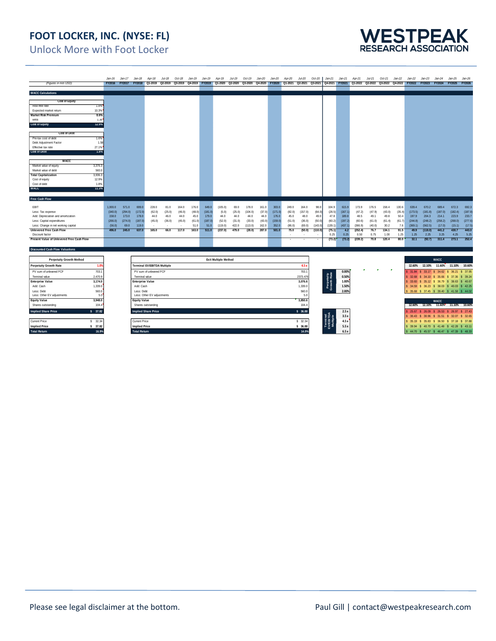### **FOOT LOCKER, INC. (NYSE: FL)**



Unlock More with Foot Locker

|                                                         |                  | $Jan-16$                                    | Jan-17           | $Jan-18$                | Apr-18                      | $Jul-18$       | $Oct-18$         | $Jan-19$       | $Jan-19$         | Apr-19                      | Jul-19          | $Oct-19$                                                                                                                   | Jan-20         | Jan-20           | Apr-20           | Jul-20          | $Oct-20$          | $Jan-21$                  | $Jan-21$           | Apr-21                                                                     | $Jul-21$         | $Oct-21$                           | $Jan-22$       | Jan-22                                       | $Jan-23$                            | $Jan-24$          | Jan-25                                       | $Jan-26$         |
|---------------------------------------------------------|------------------|---------------------------------------------|------------------|-------------------------|-----------------------------|----------------|------------------|----------------|------------------|-----------------------------|-----------------|----------------------------------------------------------------------------------------------------------------------------|----------------|------------------|------------------|-----------------|-------------------|---------------------------|--------------------|----------------------------------------------------------------------------|------------------|------------------------------------|----------------|----------------------------------------------|-------------------------------------|-------------------|----------------------------------------------|------------------|
| (Figures in mm USD)                                     |                  |                                             |                  |                         |                             |                |                  |                |                  |                             |                 | FY2016 FY2017 FY2018 Q1-2019 Q2-2019 Q3-2019 Q4-2019 FY2019 Q1-2020 Q2-2020 Q3-2020 Q4-2020 FY2020 Q1-2021 Q2-2021 Q3-2021 |                |                  |                  |                 |                   |                           |                    | Q4-2021 FY2021 Q1-2022 Q2-2022 Q3-2022 Q4-2022 FY2022 FY2023 FY2024 FY2025 |                  |                                    |                |                                              |                                     |                   |                                              | <b>FY2026</b>    |
|                                                         |                  |                                             |                  |                         |                             |                |                  |                |                  |                             |                 |                                                                                                                            |                |                  |                  |                 |                   |                           |                    |                                                                            |                  |                                    |                |                                              |                                     |                   |                                              |                  |
| <b>WACC Calculations</b>                                |                  |                                             |                  |                         |                             |                |                  |                |                  |                             |                 |                                                                                                                            |                |                  |                  |                 |                   |                           |                    |                                                                            |                  |                                    |                |                                              |                                     |                   |                                              |                  |
|                                                         |                  |                                             |                  |                         |                             |                |                  |                |                  |                             |                 |                                                                                                                            |                |                  |                  |                 |                   |                           |                    |                                                                            |                  |                                    |                |                                              |                                     |                   |                                              |                  |
| <b>Cost of Equity</b>                                   |                  |                                             |                  |                         |                             |                |                  |                |                  |                             |                 |                                                                                                                            |                |                  |                  |                 |                   |                           |                    |                                                                            |                  |                                    |                |                                              |                                     |                   |                                              |                  |
| Risk-free rate                                          | 1.8%             |                                             |                  |                         |                             |                |                  |                |                  |                             |                 |                                                                                                                            |                |                  |                  |                 |                   |                           |                    |                                                                            |                  |                                    |                |                                              |                                     |                   |                                              |                  |
| Expected market return                                  | 10.3%<br>8.6%    |                                             |                  |                         |                             |                |                  |                |                  |                             |                 |                                                                                                                            |                |                  |                  |                 |                   |                           |                    |                                                                            |                  |                                    |                |                                              |                                     |                   |                                              |                  |
| <b>Market Risk Premium</b><br>Beta                      | 1.30             |                                             |                  |                         |                             |                |                  |                |                  |                             |                 |                                                                                                                            |                |                  |                  |                 |                   |                           |                    |                                                                            |                  |                                    |                |                                              |                                     |                   |                                              |                  |
| <b>Cost of Equity</b>                                   | 12.9%            |                                             |                  |                         |                             |                |                  |                |                  |                             |                 |                                                                                                                            |                |                  |                  |                 |                   |                           |                    |                                                                            |                  |                                    |                |                                              |                                     |                   |                                              |                  |
|                                                         |                  |                                             |                  |                         |                             |                |                  |                |                  |                             |                 |                                                                                                                            |                |                  |                  |                 |                   |                           |                    |                                                                            |                  |                                    |                |                                              |                                     |                   |                                              |                  |
| <b>Cost of Debt</b>                                     |                  |                                             |                  |                         |                             |                |                  |                |                  |                             |                 |                                                                                                                            |                |                  |                  |                 |                   |                           |                    |                                                                            |                  |                                    |                |                                              |                                     |                   |                                              |                  |
| Pre-tax cost of debt                                    | 1.6%             |                                             |                  |                         |                             |                |                  |                |                  |                             |                 |                                                                                                                            |                |                  |                  |                 |                   |                           |                    |                                                                            |                  |                                    |                |                                              |                                     |                   |                                              |                  |
| Debt Adjustment Factor                                  | 1.58             |                                             |                  |                         |                             |                |                  |                |                  |                             |                 |                                                                                                                            |                |                  |                  |                 |                   |                           |                    |                                                                            |                  |                                    |                |                                              |                                     |                   |                                              |                  |
| Effective tax rate                                      | 27.1%            |                                             |                  |                         |                             |                |                  |                |                  |                             |                 |                                                                                                                            |                |                  |                  |                 |                   |                           |                    |                                                                            |                  |                                    |                |                                              |                                     |                   |                                              |                  |
| <b>Cost of Debt</b>                                     | 1.8%             |                                             |                  |                         |                             |                |                  |                |                  |                             |                 |                                                                                                                            |                |                  |                  |                 |                   |                           |                    |                                                                            |                  |                                    |                |                                              |                                     |                   |                                              |                  |
|                                                         |                  |                                             |                  |                         |                             |                |                  |                |                  |                             |                 |                                                                                                                            |                |                  |                  |                 |                   |                           |                    |                                                                            |                  |                                    |                |                                              |                                     |                   |                                              |                  |
| <b>WACC</b>                                             |                  |                                             |                  |                         |                             |                |                  |                |                  |                             |                 |                                                                                                                            |                |                  |                  |                 |                   |                           |                    |                                                                            |                  |                                    |                |                                              |                                     |                   |                                              |                  |
| Market value of equity                                  | 3,376.3          |                                             |                  |                         |                             |                |                  |                |                  |                             |                 |                                                                                                                            |                |                  |                  |                 |                   |                           |                    |                                                                            |                  |                                    |                |                                              |                                     |                   |                                              |                  |
| Market value of debt                                    | 560.0<br>3,936.3 |                                             |                  |                         |                             |                |                  |                |                  |                             |                 |                                                                                                                            |                |                  |                  |                 |                   |                           |                    |                                                                            |                  |                                    |                |                                              |                                     |                   |                                              |                  |
| <b>Total Capitalization</b><br>Cost of equity           | 12.9%            |                                             |                  |                         |                             |                |                  |                |                  |                             |                 |                                                                                                                            |                |                  |                  |                 |                   |                           |                    |                                                                            |                  |                                    |                |                                              |                                     |                   |                                              |                  |
| Cost of debt                                            | 1.8%             |                                             |                  |                         |                             |                |                  |                |                  |                             |                 |                                                                                                                            |                |                  |                  |                 |                   |                           |                    |                                                                            |                  |                                    |                |                                              |                                     |                   |                                              |                  |
| <b>WACC</b>                                             | 11.3%            |                                             |                  |                         |                             |                |                  |                |                  |                             |                 |                                                                                                                            |                |                  |                  |                 |                   |                           |                    |                                                                            |                  |                                    |                |                                              |                                     |                   |                                              |                  |
|                                                         |                  |                                             |                  |                         |                             |                |                  |                |                  |                             |                 |                                                                                                                            |                |                  |                  |                 |                   |                           |                    |                                                                            |                  |                                    |                |                                              |                                     |                   |                                              |                  |
| Free Cash Flow                                          |                  |                                             |                  |                         |                             |                |                  |                |                  |                             |                 |                                                                                                                            |                |                  |                  |                 |                   |                           |                    |                                                                            |                  |                                    |                |                                              |                                     |                   |                                              |                  |
|                                                         |                  |                                             |                  |                         |                             |                |                  |                |                  |                             |                 |                                                                                                                            |                |                  |                  |                 |                   |                           |                    |                                                                            |                  |                                    |                |                                              |                                     |                   |                                              |                  |
| EBIT                                                    |                  | 1,000.0                                     | 571.0            | 699.0                   | 228.0                       | 81.0           | 164.0            | 176.0          | 649.0            | (105.0)                     | 69.0            | 178.0                                                                                                                      | 161.0          | 303.0            | 249.0            | 164.0           | 98.0              | 104.9                     | 615.9              | 173.9                                                                      | 176.5            | 158.4                              | 130.6          | 639.4                                        | 670.2                               | 689.4             | 672.3                                        | 692.3            |
| Less: Tax expense<br>Add: Depreciation and amortization |                  | (340.0)<br>158.0                            | (294.0)<br>173.0 | (172.0)<br>178.0        | (62.0)<br>44.0              | (25.0)<br>46.0 | (46.0)<br>44.0   | (48.0)<br>45.0 | (181.0)<br>179.0 | (5.0)<br>44.0               | (25.0)<br>44.0  | (104.0)<br>44.0                                                                                                            | (37.0)<br>44.0 | (171.0)<br>176.0 | (82.0)<br>45.0   | (157.0)<br>48.0 | (64.0)<br>49.0    | (28.5)<br>47.8            | (167.1)<br>189.8   | (47.2)<br>48.5                                                             | (47.9)<br>49.1   | (43.0)<br>49.8                     | (35.4)<br>50.4 | (173.5)<br>197.9                             | (181.8)<br>204.3                    | (187.0)<br>214.1  | (182.4)<br>223.9                             | (187.8)<br>233.7 |
| Less: Capital expenditures                              |                  | (266.0)                                     |                  | (187.0)                 |                             | (36.0)         |                  | (61.0)         | (187.0)          |                             |                 | (33.0)                                                                                                                     | (43.0)         | (159.0)          |                  | (36.0)          |                   |                           |                    |                                                                            |                  |                                    |                | (244.8)                                      |                                     |                   | (268.0)                                      | (277.6)          |
| Less: Change in net working capital                     |                  | (56.0)                                      | (274.0)<br>69.0  | 119.0                   | (45.0)                      | . .            | (45.0)<br>$\sim$ | 51.0           | 51.0             | (52.0)<br>(119.0)           | (31.0)<br>422.0 | (113.0)                                                                                                                    | 162.0          | 352.0            | (51.0)<br>(86.0) | (69.0)          | (50.0)<br>(143.0) | (60.2)<br>(139.1)         | (197.2)<br>(437.1) | (60.6)<br>(366.9)                                                          | (61.0)<br>(40.0) | (61.4)<br>30.2                     | (61.7)<br>7.6  | (369.1)                                      | (248.2)<br>(562.5)                  | (258.2)<br>(17.0) | (15.1)                                       | (17.5)           |
| Unlevered Free Cash Flow                                |                  | 496.0                                       | 245.0            | 637.0                   | 165.0                       | 66.0           | 117.0            | 163.0          | 511.0            | (237.0)                     | 479.0           | (28.0)                                                                                                                     | 287.0          | 501.0            | 75.0             | (50.0)          | (110.0)           | (75.1)                    | 4.2                | (252.4)                                                                    | 76.7             | 134.1                              | 91.5           | 49.9                                         | (118.0)                             | 441.2             | 430.7                                        | 443.0            |
| Discount factor                                         |                  |                                             |                  |                         |                             |                |                  |                |                  |                             |                 |                                                                                                                            |                |                  |                  |                 |                   | 0.25                      | 0.25               | 0.50                                                                       | 0.75             | 1.00                               | 1.25           | 1.25                                         | 2.25                                | 3.25              | 4.25                                         | 5.25             |
| Present Value of Unlevered Free Cash Flow               |                  |                                             |                  |                         |                             |                |                  |                |                  |                             |                 |                                                                                                                            |                |                  |                  |                 |                   | (73.2)                    | (73.2)             | (239.2)                                                                    | 70.8             | 120.4                              | 80.0           | 32.1                                         | (92.7)                              | 311.4             | 273.1                                        | 252.4            |
| <b>Discounted Cash Flow Valuations</b>                  |                  |                                             |                  |                         |                             |                |                  |                |                  |                             |                 |                                                                                                                            |                |                  |                  |                 |                   |                           |                    |                                                                            |                  |                                    |                |                                              |                                     |                   |                                              |                  |
|                                                         |                  |                                             |                  |                         |                             |                |                  |                |                  |                             |                 |                                                                                                                            |                |                  |                  |                 |                   |                           |                    |                                                                            |                  |                                    |                |                                              |                                     |                   |                                              |                  |
| <b>Perpetuity Growth Method</b>                         |                  |                                             |                  |                         |                             |                |                  |                |                  | <b>Exit Multiple Method</b> |                 |                                                                                                                            |                |                  |                  |                 |                   |                           |                    |                                                                            |                  |                                    |                |                                              |                                     | <b>WACC</b>       |                                              |                  |
| <b>Perpetuity Growth Rate</b>                           | 1.0%             |                                             |                  |                         | Terminal EV/EBITDA Multiple |                |                  |                |                  |                             |                 |                                                                                                                            |                |                  |                  | 4.5 x           |                   |                           |                    |                                                                            |                  |                                    |                | 12.60%                                       | 12.10% 11.60% 11.10%                |                   |                                              | 10.60%           |
| PV sum of unlevered FCF                                 | 703.1            |                                             |                  |                         | PV sum of unlevered FCF     |                |                  |                |                  |                             |                 |                                                                                                                            |                |                  |                  | 703.1           |                   |                           | 0.00%              | $\bullet$                                                                  |                  |                                    | -              |                                              | 31.84 \$ 33.17 \$ 34.62 \$ 36.21    |                   |                                              | \$ 37.95         |
| Terminal value<br>2,470.9                               |                  |                                             |                  | Terminal value          |                             |                |                  |                |                  |                             |                 |                                                                                                                            |                |                  |                  | 2373.476        |                   | Perpetuity<br>Growth Rate | 0.50%              |                                                                            |                  |                                    |                | $\mathbf{s}$                                 | 32.68 \$ 34.10 \$ 35.66 \$ 37.36    |                   |                                              | \$39.24          |
| <b>Enterprise Value</b>                                 | 3,174.0          |                                             |                  | <b>Enterprise Value</b> |                             |                |                  |                |                  |                             |                 |                                                                                                                            |                |                  |                  | 3,076.6         |                   |                           | 1.00%              |                                                                            |                  |                                    |                | \$ 33.60 \$ 35.12 \$ 36.79 \$ 38.63          |                                     |                   |                                              | \$40.67          |
| Add: Cash<br>1,339.0                                    |                  | Add: Cash                                   |                  |                         |                             |                |                  |                |                  |                             |                 |                                                                                                                            | 1,339.0        |                  |                  | 1.50%           |                   |                           |                    |                                                                            |                  |                                    |                | \$ 34.59 \$ 36.23 \$ 38.03 \$ 40.03 \$ 42.25 |                                     |                   |                                              |                  |
| Less: Debt                                              | 560.0            |                                             |                  | Less: Debt              |                             |                |                  |                |                  |                             |                 |                                                                                                                            |                |                  |                  | 560.0           |                   |                           | 2.00%              |                                                                            |                  |                                    |                |                                              |                                     |                   | 35.68 \$ 37.45 \$ 39.40 \$ 41.58 \$ 44.02    |                  |
| Less: Other EV adjustments                              | 5.0              | Less: Other EV adjustments                  |                  |                         |                             |                |                  |                |                  |                             |                 |                                                                                                                            | 5.0            |                  |                  |                 |                   |                           |                    |                                                                            |                  |                                    |                |                                              |                                     |                   |                                              |                  |
| <b>Equity Value</b><br>3.948.0                          |                  | <b>Equity Value</b>                         |                  |                         |                             |                |                  |                |                  |                             |                 |                                                                                                                            | 3,850.6        |                  |                  |                 |                   |                           |                    |                                                                            |                  |                                    | <b>WACC</b>    |                                              |                                     |                   |                                              |                  |
| Shares outstanding                                      | 104.4            | Shares outstanding                          |                  |                         |                             |                |                  |                |                  |                             | 104.4           |                                                                                                                            |                |                  |                  |                 |                   |                           |                    |                                                                            |                  | 12.60% 12.10% 11.60% 11.10% 10.60% |                |                                              |                                     |                   |                                              |                  |
| \$37.82<br><b>Implied Share Price</b>                   |                  |                                             |                  |                         | <b>Implied Share Price</b>  |                |                  |                |                  |                             |                 |                                                                                                                            |                |                  |                  | \$36.88         |                   |                           | 2.5x               |                                                                            |                  |                                    |                |                                              |                                     |                   | 25.67 \$ 26.09 \$ 26.53 \$ 26.97 \$ 27.43    |                  |
|                                                         |                  |                                             |                  |                         |                             |                |                  |                |                  |                             |                 |                                                                                                                            |                |                  |                  |                 |                   |                           | 3.5x               |                                                                            |                  |                                    |                |                                              | \$ 30.43 \$ 30.96 \$ 31.51 \$ 32.07 |                   |                                              | \$32.65          |
| Current Price<br>\$32.34                                |                  |                                             |                  | <b>Current Price</b>    |                             |                |                  |                |                  |                             |                 |                                                                                                                            |                |                  |                  | \$ 32.34        |                   |                           | 4.5x               |                                                                            |                  |                                    |                |                                              |                                     |                   | \$ 35.19 \$ 35.83 \$ 36.50 \$ 37.18 \$ 37.88 |                  |
| \$37.82<br><b>Implied Price</b>                         |                  |                                             |                  |                         |                             |                |                  |                |                  |                             |                 |                                                                                                                            |                |                  |                  | \$36.88         |                   |                           | 5.5x               |                                                                            |                  |                                    |                |                                              |                                     |                   | \$ 39.94 \$ 40.70 \$ 41.48 \$ 42.28 \$ 43.11 |                  |
| <b>Total Return</b>                                     | 16.9%            | <b>Implied Price</b><br><b>Total Return</b> |                  |                         |                             |                |                  |                |                  |                             |                 |                                                                                                                            | 14.0%          |                  |                  | 6.5x            |                   |                           |                    |                                                                            |                  |                                    |                | \$44.70 \$45.57 \$46.47 \$47.39 \$48.33      |                                     |                   |                                              |                  |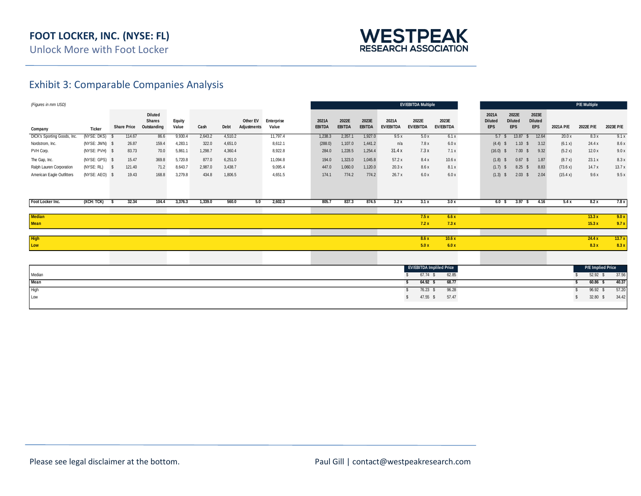

### Exhibit 3: Comparable Companies Analysis

| (Figures in mm USD)         |                |     |                    |                                                |                 |         |         |                         |                     |                        |                        |                        |                           | <b>EV/EBITDA Multiple</b>       |                           |                                       |                                       |                                       |           | <b>P/E Multiple</b>      |           |
|-----------------------------|----------------|-----|--------------------|------------------------------------------------|-----------------|---------|---------|-------------------------|---------------------|------------------------|------------------------|------------------------|---------------------------|---------------------------------|---------------------------|---------------------------------------|---------------------------------------|---------------------------------------|-----------|--------------------------|-----------|
| Company                     | <b>Ticker</b>  |     | <b>Share Price</b> | <b>Diluted</b><br><b>Shares</b><br>Outstanding | Equity<br>Value | Cash    | Debt    | Other EV<br>Adjustments | Enterprise<br>Value | 2021A<br><b>EBITDA</b> | 2022E<br><b>EBITDA</b> | 2023E<br><b>EBITDA</b> | 2021A<br><b>EV/EBITDA</b> | 2022E<br>EV/EBITDA              | 2023E<br><b>EV/EBITDA</b> | 2021A<br><b>Diluted</b><br><b>EPS</b> | 2022E<br><b>Diluted</b><br><b>EPS</b> | 2023E<br><b>Diluted</b><br><b>EPS</b> | 2021A P/E | 2022E P/E                | 2023E P/E |
| DICK's Sporting Goods, Inc. | (NYSE: DKS) \$ |     | 114.67             | 86.6                                           | 9,930.4         | 2,643.2 | 4,510.2 |                         | 11,797.4            | 1,238.3                | 2,357.1                | 1,927.0                | 9.5x                      | 5.0x                            | 6.1x                      | 5.7 <sup>°</sup>                      | 13.87                                 | 12.64<br>- 5                          | 20.0x     | 8.3x                     | 9.1x      |
| Nordstrom, Inc.             | (NYSE: JWN) \$ |     | 26.87              | 159.4                                          | 4,283.1         | 322.0   | 4,651.0 |                         | 8,612.1             | (288.0)                | 1,107.0                | 1,441.2                | n/a                       | 7.8x                            | 6.0 x                     | $(4.4)$ \$                            | 1.10                                  | 3.12<br>- S                           | (6.1 x)   | 24.4 x                   | 8.6 x     |
| PVH Corp.                   | (NYSE: PVH) \$ |     | 83.73              | 70.0                                           | 5,861.1         | 1,298.7 | 4,360.4 |                         | 8,922.8             | 284.0                  | 1,228.5                | 1,254.4                | 31.4x                     | 7.3x                            | 7.1x                      | $(16.0)$ \$                           | 7.00                                  | 9.32<br>- S                           | (5.2 x)   | 12.0x                    | 9.0x      |
| The Gap, Inc.               | (NYSE: GPS) \$ |     | 15.47              | 369.8                                          | 5,720.8         | 877.0   | 6,251.0 |                         | 11,094.8            | 194.0                  | 1,323.0                | 1,045.8                | 57.2x                     | 8.4x                            | 10.6x                     | $(1.8)$ \$                            | 0.67                                  | 1.87<br>- S                           | (8.7 x)   | 23.1x                    | 8.3 x     |
| Ralph Lauren Corporation    | (NYSE: RL)     | s   | 121.40             | 71.2                                           | 8,643.7         | 2,987.0 | 3,438.7 |                         | 9,095.4             | 447.0                  | 1,060.0                | 1,120.0                | 20.3x                     | 8.6x                            | 8.1x                      | $(1.7)$ \$                            | 8.25                                  | 8.83<br>- S                           | (73.6 x)  | 14.7x                    | 13.7x     |
| American Eagle Outfitters   | (NYSE: AEO) \$ |     | 19.43              | 168.8                                          | 3,279.8         | 434.8   | 1,806.5 |                         | 4,651.5             | 174.1                  | 774.2                  | 774.2                  | 26.7 x                    | 6.0x                            | 6.0x                      | $(1.3)$ \$                            | 2.03                                  | 2.04<br>- S                           | (15.4 x)  | 9.6x                     | 9.5x      |
| Foot Locker Inc.            | (XCH: TCK)     | - 5 | 32.34              | 104.4                                          | 3,376.3         | 1,339.0 | 560.0   | 5.0                     | 2,602.3             | 805.7                  | 837.3                  | 874.5                  | 3.2x                      | 3.1x                            | 3.0x                      | 6.0 S                                 | 3.97S                                 | 4.16                                  | 5.4x      | 8.2x                     | 7.8x      |
|                             |                |     |                    |                                                |                 |         |         |                         |                     |                        |                        |                        |                           |                                 |                           |                                       |                                       |                                       |           |                          |           |
| <b>Median</b>               |                |     |                    |                                                |                 |         |         |                         |                     |                        |                        |                        |                           | 7.5x                            | 6.6x                      |                                       |                                       |                                       |           | 13.3x                    | 9.0x      |
| Mean                        |                |     |                    |                                                |                 |         |         |                         |                     |                        |                        |                        |                           | 7.2x                            | 7.3x                      |                                       |                                       |                                       |           | 15.3x                    | 9.7x      |
|                             |                |     |                    |                                                |                 |         |         |                         |                     |                        |                        |                        |                           |                                 |                           |                                       |                                       |                                       |           |                          |           |
| <b>High</b>                 |                |     |                    |                                                |                 |         |         |                         |                     |                        |                        |                        |                           | 8.6 x                           | 10.6x                     |                                       |                                       |                                       |           | 24.4 x                   | 13.7x     |
| Low                         |                |     |                    |                                                |                 |         |         |                         |                     |                        |                        |                        |                           | 5.0x                            | 6.0x                      |                                       |                                       |                                       |           | 8.3x                     | 8.3x      |
|                             |                |     |                    |                                                |                 |         |         |                         |                     |                        |                        |                        |                           |                                 |                           |                                       |                                       |                                       |           |                          |           |
|                             |                |     |                    |                                                |                 |         |         |                         |                     |                        |                        |                        |                           | <b>EV/EBITDA Impliled Price</b> |                           |                                       |                                       |                                       |           | <b>P/E Implied Price</b> |           |
| Median                      |                |     |                    |                                                |                 |         |         |                         |                     |                        |                        |                        |                           | $67.74$ \$                      | 62.85                     |                                       |                                       |                                       |           | $52.92$ \$               | 37.56     |
| Mean                        |                |     |                    |                                                |                 |         |         |                         |                     |                        |                        |                        |                           | 64.92 S                         | 68.77                     |                                       |                                       |                                       |           | $60.86$ \$               | 40.37     |
| High                        |                |     |                    |                                                |                 |         |         |                         |                     |                        |                        |                        |                           | 76.23 \$                        | 96.28                     |                                       |                                       |                                       |           | $96.92$ \$               | 57.20     |
| Low                         |                |     |                    |                                                |                 |         |         |                         |                     |                        |                        |                        |                           | 47.55 \$                        | 57.47                     |                                       |                                       |                                       |           | 32.80 \$                 | 34.42     |